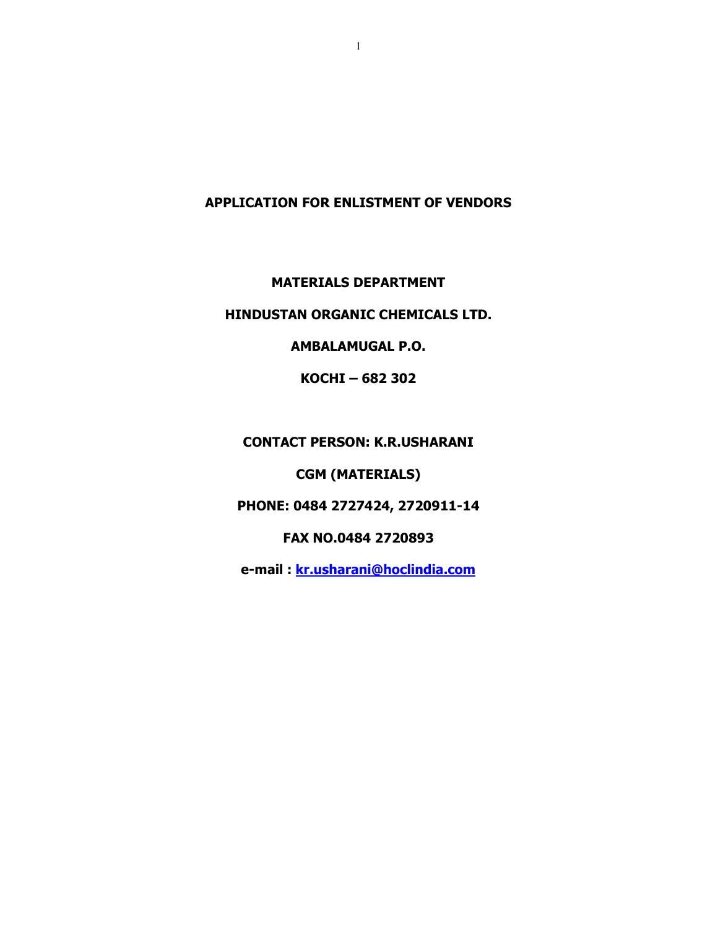## **APPLICATION FOR ENLISTMENT OF VENDORS**

**MATERIALS DEPARTMENT** 

## **HINDUSTAN ORGANIC CHEMICALS LTD.**

**AMBALAMUGAL P.O.** 

**KOCHI – 682 302** 

**CONTACT PERSON: K.R.USHARANI** 

**CGM (MATERIALS)** 

**PHONE: 0484 2727424, 2720911-14** 

**FAX NO.0484 2720893** 

**e-mail : kr.usharani@hoclindia.com**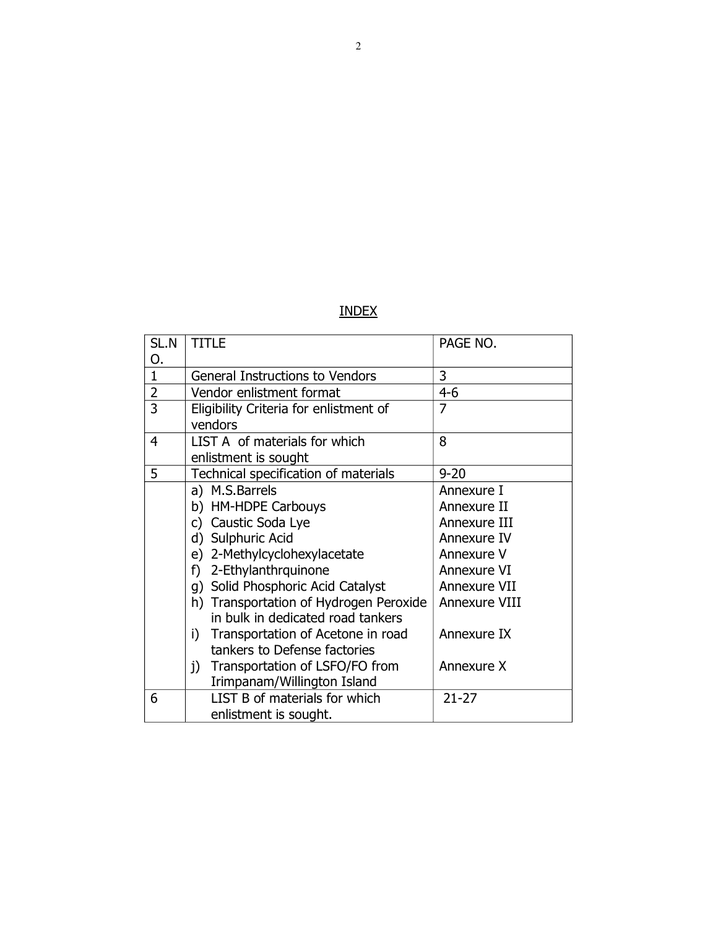| SL.N           | <b>TITLE</b>                            | PAGE NO.      |
|----------------|-----------------------------------------|---------------|
| 0.             |                                         |               |
| $\mathbf{1}$   | <b>General Instructions to Vendors</b>  | 3             |
| $\overline{2}$ | Vendor enlistment format                | $4 - 6$       |
| 3              | Eligibility Criteria for enlistment of  | 7             |
|                | vendors                                 |               |
| 4              | LIST A of materials for which           | 8             |
|                | enlistment is sought                    |               |
| 5              | Technical specification of materials    | $9 - 20$      |
|                | a) M.S.Barrels                          | Annexure I    |
|                | b) HM-HDPE Carbouys                     | Annexure II   |
|                | c) Caustic Soda Lye                     | Annexure III  |
|                | d) Sulphuric Acid                       | Annexure IV   |
|                | e) 2-Methylcyclohexylacetate            | Annexure V    |
|                | f) 2-Ethylanthrquinone                  | Annexure VI   |
|                | g) Solid Phosphoric Acid Catalyst       | Annexure VII  |
|                | h) Transportation of Hydrogen Peroxide  | Annexure VIII |
|                | in bulk in dedicated road tankers       |               |
|                | Transportation of Acetone in road<br>i) | Annexure IX   |
|                | tankers to Defense factories            |               |
|                | Transportation of LSFO/FO from<br>j)    | Annexure X    |
|                | Irimpanam/Willington Island             |               |
| 6              | LIST B of materials for which           | $21 - 27$     |
|                | enlistment is sought.                   |               |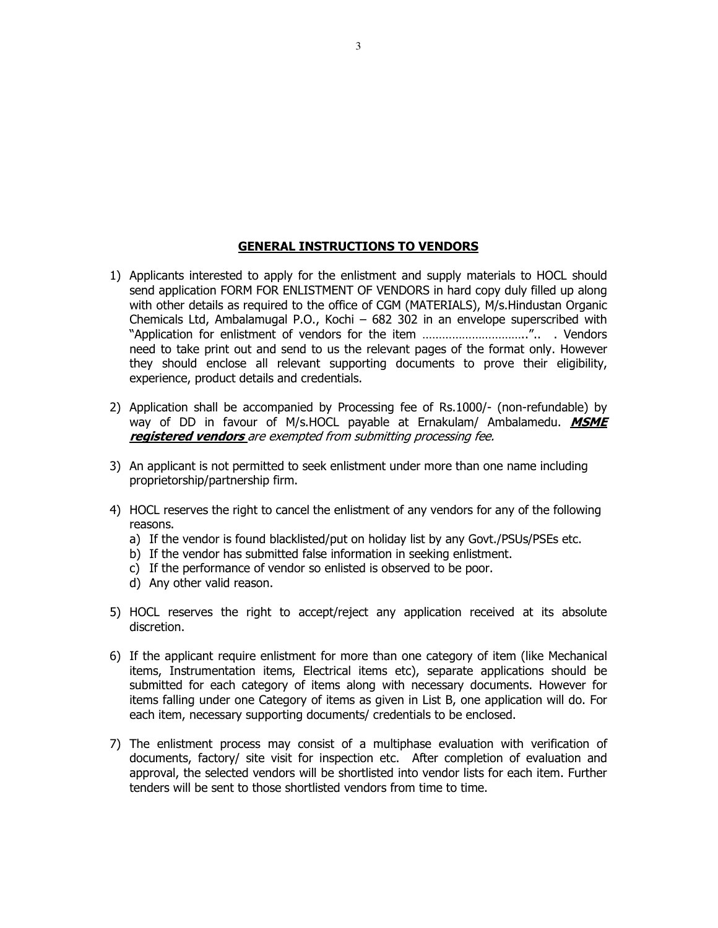#### **GENERAL INSTRUCTIONS TO VENDORS**

- 1) Applicants interested to apply for the enlistment and supply materials to HOCL should send application FORM FOR ENLISTMENT OF VENDORS in hard copy duly filled up along with other details as required to the office of CGM (MATERIALS), M/s.Hindustan Organic Chemicals Ltd, Ambalamugal P.O., Kochi – 682 302 in an envelope superscribed with "Application for enlistment of vendors for the item …………………………..".. . Vendors need to take print out and send to us the relevant pages of the format only. However they should enclose all relevant supporting documents to prove their eligibility, experience, product details and credentials.
- 2) Application shall be accompanied by Processing fee of Rs.1000/- (non-refundable) by way of DD in favour of M/s.HOCL payable at Ernakulam/ Ambalamedu. **MSME registered vendors** are exempted from submitting processing fee.
- 3) An applicant is not permitted to seek enlistment under more than one name including proprietorship/partnership firm.
- 4) HOCL reserves the right to cancel the enlistment of any vendors for any of the following reasons.
	- a) If the vendor is found blacklisted/put on holiday list by any Govt./PSUs/PSEs etc.
	- b) If the vendor has submitted false information in seeking enlistment.
	- c) If the performance of vendor so enlisted is observed to be poor.
	- d) Any other valid reason.
- 5) HOCL reserves the right to accept/reject any application received at its absolute discretion.
- 6) If the applicant require enlistment for more than one category of item (like Mechanical items, Instrumentation items, Electrical items etc), separate applications should be submitted for each category of items along with necessary documents. However for items falling under one Category of items as given in List B, one application will do. For each item, necessary supporting documents/ credentials to be enclosed.
- 7) The enlistment process may consist of a multiphase evaluation with verification of documents, factory/ site visit for inspection etc. After completion of evaluation and approval, the selected vendors will be shortlisted into vendor lists for each item. Further tenders will be sent to those shortlisted vendors from time to time.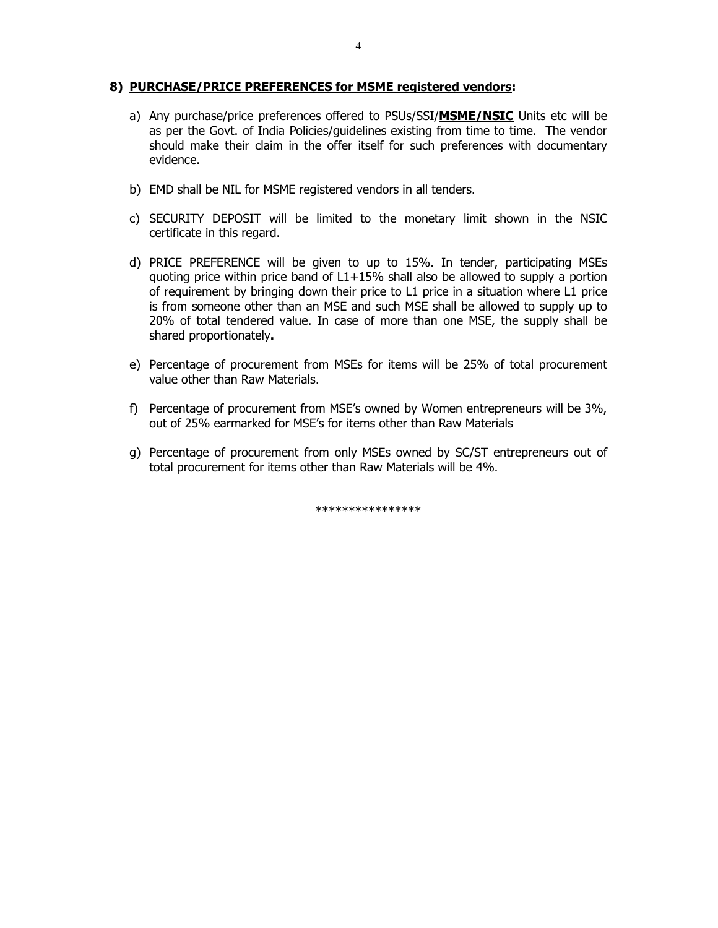#### **8) PURCHASE/PRICE PREFERENCES for MSME registered vendors:**

- a) Any purchase/price preferences offered to PSUs/SSI/**MSME/NSIC** Units etc will be as per the Govt. of India Policies/guidelines existing from time to time. The vendor should make their claim in the offer itself for such preferences with documentary evidence.
- b) EMD shall be NIL for MSME registered vendors in all tenders.
- c) SECURITY DEPOSIT will be limited to the monetary limit shown in the NSIC certificate in this regard.
- d) PRICE PREFERENCE will be given to up to 15%. In tender, participating MSEs quoting price within price band of L1+15% shall also be allowed to supply a portion of requirement by bringing down their price to L1 price in a situation where L1 price is from someone other than an MSE and such MSE shall be allowed to supply up to 20% of total tendered value. In case of more than one MSE, the supply shall be shared proportionately**.**
- e) Percentage of procurement from MSEs for items will be 25% of total procurement value other than Raw Materials.
- f) Percentage of procurement from MSE's owned by Women entrepreneurs will be 3%, out of 25% earmarked for MSE's for items other than Raw Materials
- g) Percentage of procurement from only MSEs owned by SC/ST entrepreneurs out of total procurement for items other than Raw Materials will be 4%.

\*\*\*\*\*\*\*\*\*\*\*\*\*\*\*\*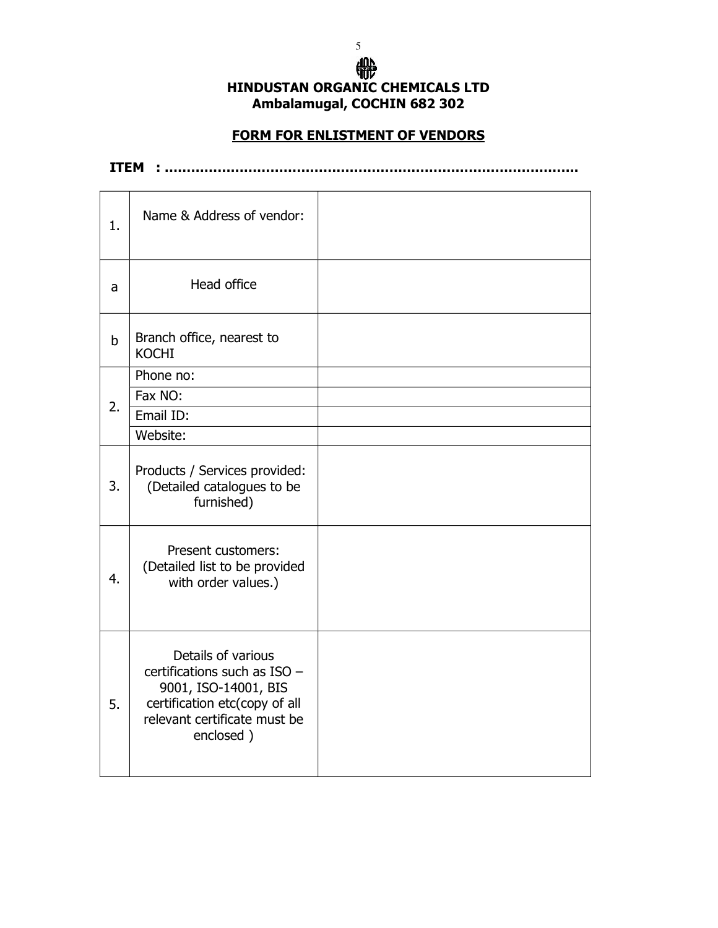## ₩ **HINDUSTAN ORGANIC CHEMICALS LTD Ambalamugal, COCHIN 682 302**

 $\sim$  5

## **FORM FOR ENLISTMENT OF VENDORS**

**ITEM : ………………………………………………………………………………….** 

| $\mathbf{1}$ . | Name & Address of vendor:                                                                                                                                  |  |
|----------------|------------------------------------------------------------------------------------------------------------------------------------------------------------|--|
| a              | Head office                                                                                                                                                |  |
| $\mathsf b$    | Branch office, nearest to<br><b>KOCHI</b>                                                                                                                  |  |
|                | Phone no:                                                                                                                                                  |  |
| 2.             | Fax NO:                                                                                                                                                    |  |
|                | Email ID:                                                                                                                                                  |  |
|                | Website:                                                                                                                                                   |  |
| 3.             | Products / Services provided:<br>(Detailed catalogues to be<br>furnished)                                                                                  |  |
| 4.             | Present customers:<br>(Detailed list to be provided<br>with order values.)                                                                                 |  |
| 5.             | Details of various<br>certifications such as $ISO -$<br>9001, ISO-14001, BIS<br>certification etc(copy of all<br>relevant certificate must be<br>enclosed) |  |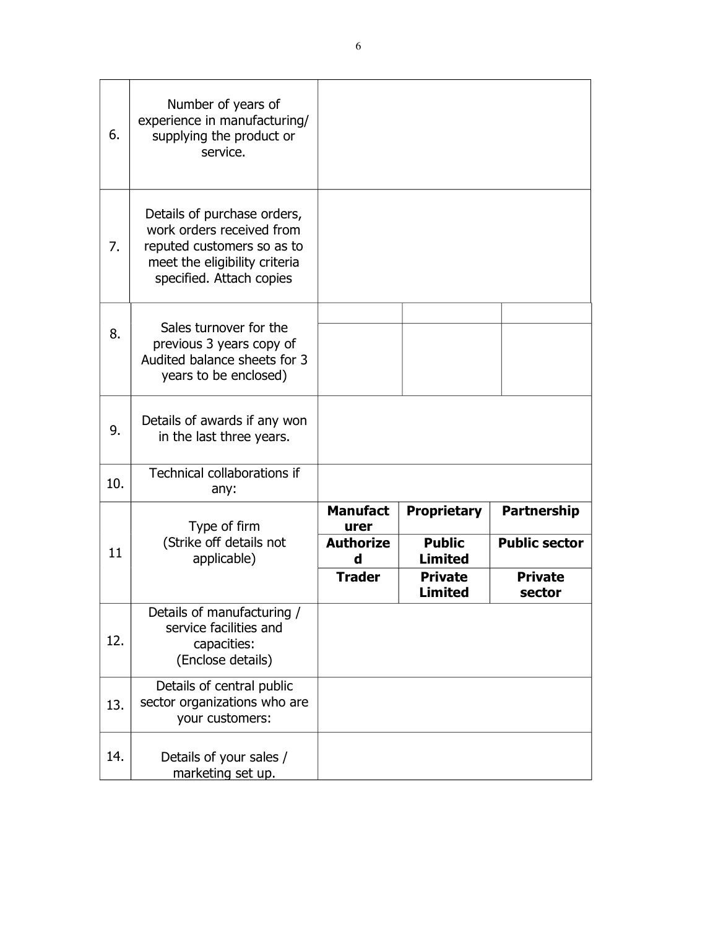| 6.  | Number of years of<br>experience in manufacturing/<br>supplying the product or<br>service.                                                          |                         |                                  |                          |
|-----|-----------------------------------------------------------------------------------------------------------------------------------------------------|-------------------------|----------------------------------|--------------------------|
| 7.  | Details of purchase orders,<br>work orders received from<br>reputed customers so as to<br>meet the eligibility criteria<br>specified. Attach copies |                         |                                  |                          |
| 8.  | Sales turnover for the<br>previous 3 years copy of<br>Audited balance sheets for 3<br>years to be enclosed)                                         |                         |                                  |                          |
| 9.  | Details of awards if any won<br>in the last three years.                                                                                            |                         |                                  |                          |
| 10. | Technical collaborations if<br>any:                                                                                                                 |                         |                                  |                          |
|     | Type of firm                                                                                                                                        | <b>Manufact</b><br>urer | <b>Proprietary</b>               | <b>Partnership</b>       |
| 11  | (Strike off details not<br>applicable)                                                                                                              | <b>Authorize</b><br>d   | <b>Public</b><br><b>Limited</b>  | <b>Public sector</b>     |
|     |                                                                                                                                                     | <b>Trader</b>           | <b>Private</b><br><b>Limited</b> | <b>Private</b><br>sector |
| 12. | Details of manufacturing /<br>service facilities and<br>capacities:<br>(Enclose details)                                                            |                         |                                  |                          |
| 13. | Details of central public<br>sector organizations who are<br>your customers:                                                                        |                         |                                  |                          |
| 14. | Details of your sales /<br>marketing set up.                                                                                                        |                         |                                  |                          |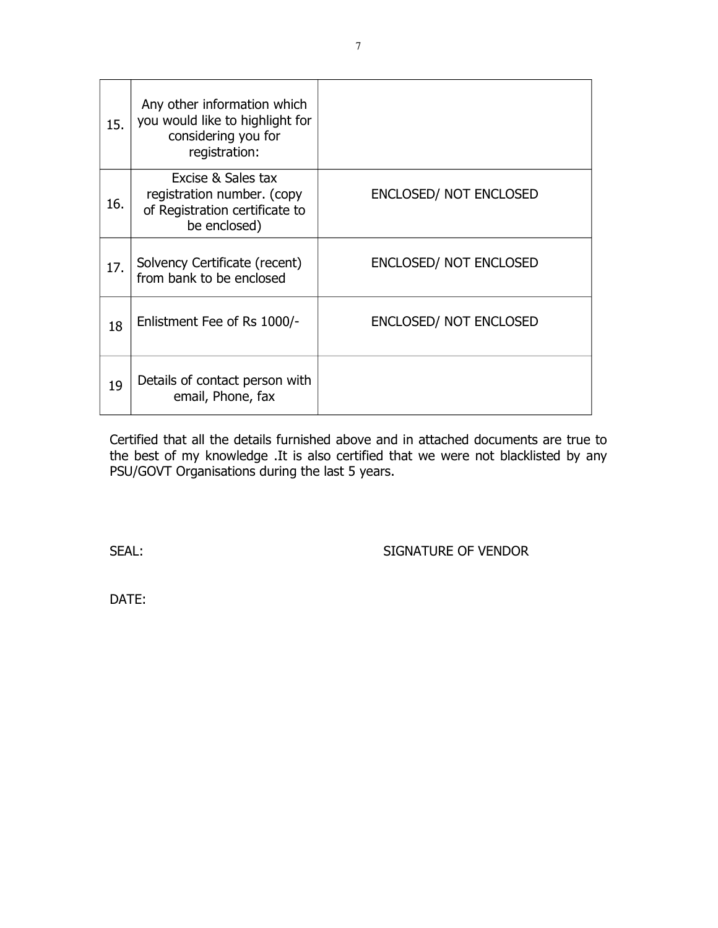| 15. | Any other information which<br>you would like to highlight for<br>considering you for<br>registration: |                               |
|-----|--------------------------------------------------------------------------------------------------------|-------------------------------|
| 16. | Excise & Sales tax<br>registration number. (copy<br>of Registration certificate to<br>be enclosed)     | <b>ENCLOSED/ NOT ENCLOSED</b> |
| 17. | Solvency Certificate (recent)<br>from bank to be enclosed                                              | <b>ENCLOSED/ NOT ENCLOSED</b> |
| 18  | Enlistment Fee of Rs 1000/-                                                                            | <b>ENCLOSED/ NOT ENCLOSED</b> |
| 19  | Details of contact person with<br>email, Phone, fax                                                    |                               |

Certified that all the details furnished above and in attached documents are true to the best of my knowledge .It is also certified that we were not blacklisted by any PSU/GOVT Organisations during the last 5 years.

SEAL: SIGNATURE OF VENDOR

DATE: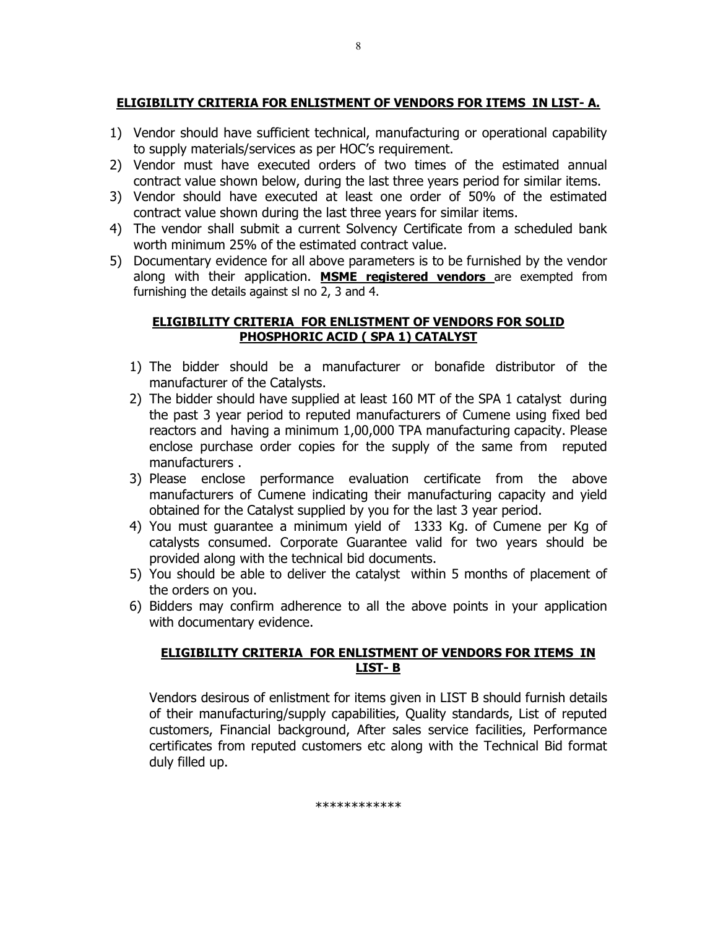## **ELIGIBILITY CRITERIA FOR ENLISTMENT OF VENDORS FOR ITEMS IN LIST- A.**

8

- 1) Vendor should have sufficient technical, manufacturing or operational capability to supply materials/services as per HOC's requirement.
- 2) Vendor must have executed orders of two times of the estimated annual contract value shown below, during the last three years period for similar items.
- 3) Vendor should have executed at least one order of 50% of the estimated contract value shown during the last three years for similar items.
- 4) The vendor shall submit a current Solvency Certificate from a scheduled bank worth minimum 25% of the estimated contract value.
- 5) Documentary evidence for all above parameters is to be furnished by the vendor along with their application. **MSME registered vendors** are exempted from furnishing the details against sl no 2, 3 and 4.

### **ELIGIBILITY CRITERIA FOR ENLISTMENT OF VENDORS FOR SOLID PHOSPHORIC ACID ( SPA 1) CATALYST**

- 1) The bidder should be a manufacturer or bonafide distributor of the manufacturer of the Catalysts.
- 2) The bidder should have supplied at least 160 MT of the SPA 1 catalyst during the past 3 year period to reputed manufacturers of Cumene using fixed bed reactors and having a minimum 1,00,000 TPA manufacturing capacity. Please enclose purchase order copies for the supply of the same from reputed manufacturers .
- 3) Please enclose performance evaluation certificate from the above manufacturers of Cumene indicating their manufacturing capacity and yield obtained for the Catalyst supplied by you for the last 3 year period.
- 4) You must guarantee a minimum yield of 1333 Kg. of Cumene per Kg of catalysts consumed. Corporate Guarantee valid for two years should be provided along with the technical bid documents.
- 5) You should be able to deliver the catalyst within 5 months of placement of the orders on you.
- 6) Bidders may confirm adherence to all the above points in your application with documentary evidence.

### **ELIGIBILITY CRITERIA FOR ENLISTMENT OF VENDORS FOR ITEMS IN LIST- B**

Vendors desirous of enlistment for items given in LIST B should furnish details of their manufacturing/supply capabilities, Quality standards, List of reputed customers, Financial background, After sales service facilities, Performance certificates from reputed customers etc along with the Technical Bid format duly filled up.

\*\*\*\*\*\*\*\*\*\*\*\*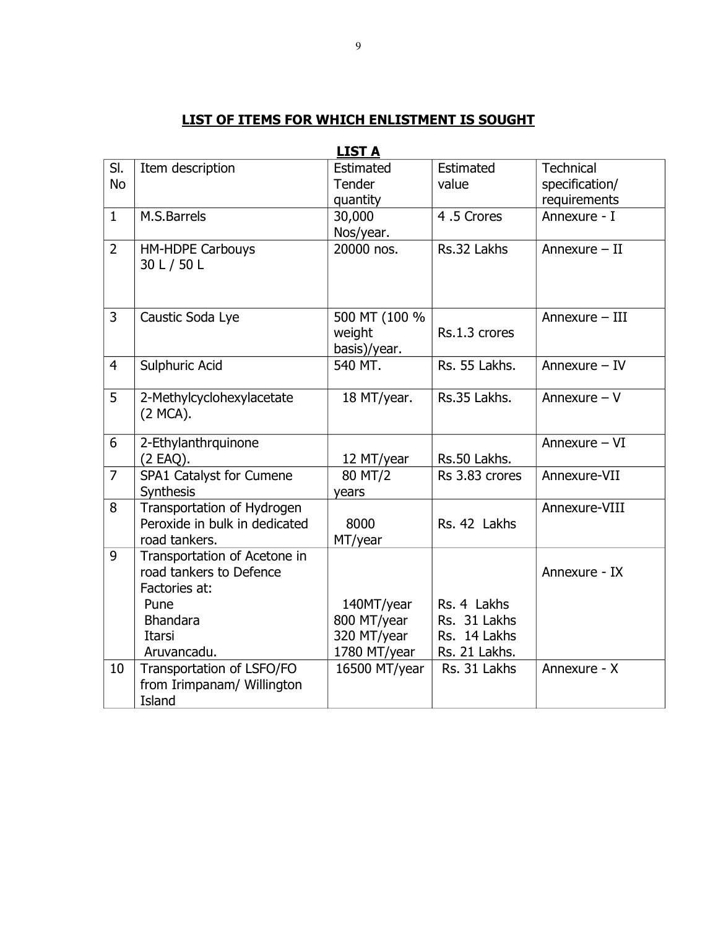|  |  |  | LIST OF ITEMS FOR WHICH ENLISTMENT IS SOUGHT |
|--|--|--|----------------------------------------------|
|  |  |  |                                              |

|                |                               | <u>LIJI A</u> |                |                  |
|----------------|-------------------------------|---------------|----------------|------------------|
| SI.            | Item description              | Estimated     | Estimated      | <b>Technical</b> |
| <b>No</b>      |                               | Tender        | value          | specification/   |
|                |                               | quantity      |                | requirements     |
| $\mathbf{1}$   | M.S.Barrels                   | 30,000        | 4.5 Crores     | Annexure - I     |
|                |                               | Nos/year.     |                |                  |
| $\overline{2}$ | <b>HM-HDPE Carbouys</b>       | 20000 nos.    | Rs.32 Lakhs    | Annexure - II    |
|                | 30 L / 50 L                   |               |                |                  |
|                |                               |               |                |                  |
|                |                               |               |                |                  |
| 3              | Caustic Soda Lye              | 500 MT (100 % |                | Annexure - III   |
|                |                               | weight        | Rs.1.3 crores  |                  |
|                |                               | basis)/year.  |                |                  |
| $\overline{4}$ | Sulphuric Acid                | 540 MT.       | Rs. 55 Lakhs.  | Annexure $-$ IV  |
|                |                               |               |                |                  |
| 5              | 2-Methylcyclohexylacetate     | 18 MT/year.   | Rs.35 Lakhs.   | Annexure $-V$    |
|                | (2 MCA).                      |               |                |                  |
|                |                               |               |                |                  |
| 6              | 2-Ethylanthrquinone           |               |                | Annexure - VI    |
|                | (2 EAQ).                      | 12 MT/year    | Rs.50 Lakhs.   |                  |
| $\overline{7}$ | SPA1 Catalyst for Cumene      | 80 MT/2       | Rs 3.83 crores | Annexure-VII     |
|                | Synthesis                     | years         |                |                  |
| 8              | Transportation of Hydrogen    |               |                | Annexure-VIII    |
|                | Peroxide in bulk in dedicated | 8000          | Rs. 42 Lakhs   |                  |
|                | road tankers.                 | MT/year       |                |                  |
| 9              | Transportation of Acetone in  |               |                |                  |
|                | road tankers to Defence       |               |                | Annexure - IX    |
|                | Factories at:                 |               |                |                  |
|                | Pune                          | 140MT/year    | Rs. 4 Lakhs    |                  |
|                | <b>Bhandara</b>               | 800 MT/year   | Rs. 31 Lakhs   |                  |
|                | Itarsi                        | 320 MT/year   | Rs. 14 Lakhs   |                  |
|                | Aruvancadu.                   | 1780 MT/year  | Rs. 21 Lakhs.  |                  |
| 10             | Transportation of LSFO/FO     | 16500 MT/year | Rs. 31 Lakhs   | Annexure - X     |
|                | from Irimpanam/ Willington    |               |                |                  |
|                | Island                        |               |                |                  |

#### **LIST A**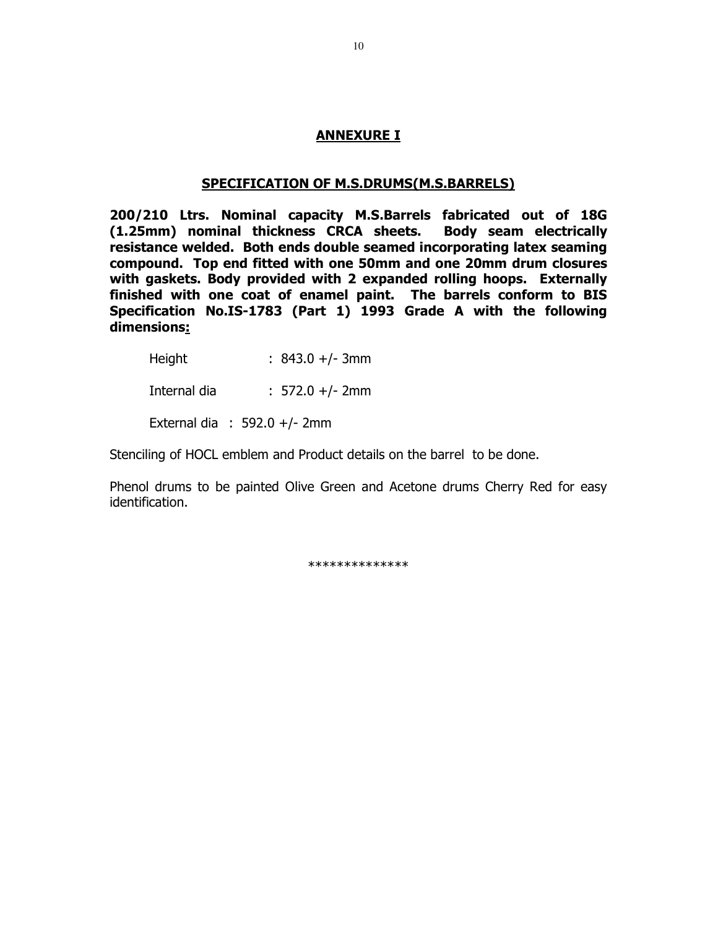#### **ANNEXURE I**

#### **SPECIFICATION OF M.S.DRUMS(M.S.BARRELS)**

**200/210 Ltrs. Nominal capacity M.S.Barrels fabricated out of 18G (1.25mm) nominal thickness CRCA sheets. Body seam electrically resistance welded. Both ends double seamed incorporating latex seaming compound. Top end fitted with one 50mm and one 20mm drum closures with gaskets. Body provided with 2 expanded rolling hoops. Externally finished with one coat of enamel paint. The barrels conform to BIS Specification No.IS-1783 (Part 1) 1993 Grade A with the following dimensions:**

| Height       | $: 843.0 +/- 3mm$              |
|--------------|--------------------------------|
| Internal dia | $: 572.0 +/- 2mm$              |
|              | External dia : $592.0 +/- 2mm$ |

Stenciling of HOCL emblem and Product details on the barrel to be done.

Phenol drums to be painted Olive Green and Acetone drums Cherry Red for easy identification.

\*\*\*\*\*\*\*\*\*\*\*\*\*\*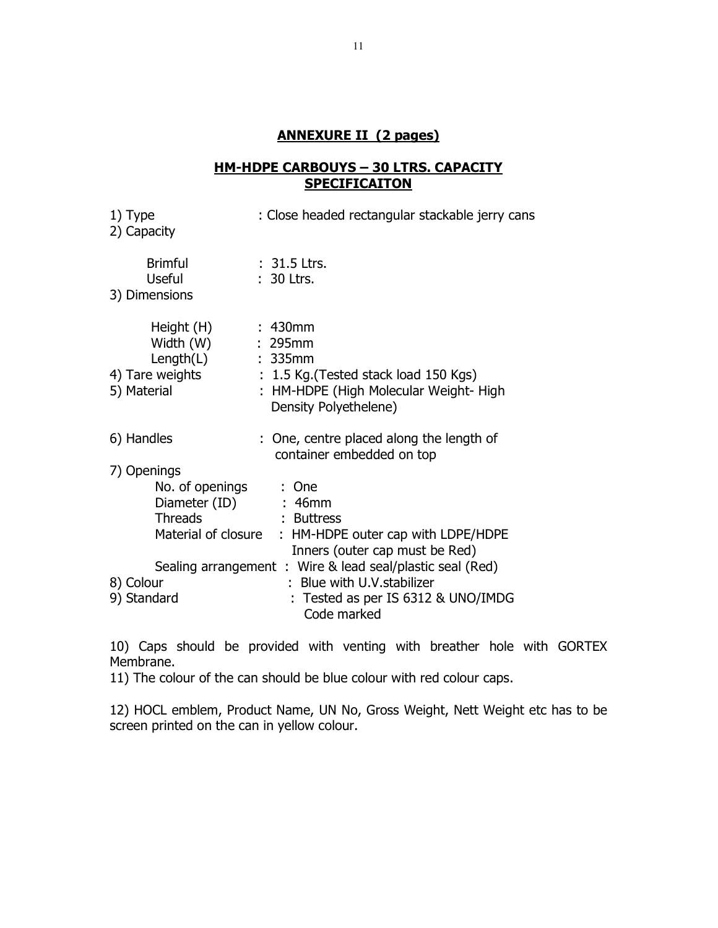## **ANNEXURE II (2 pages)**

## **HM-HDPE CARBOUYS – 30 LTRS. CAPACITY SPECIFICAITON**

| 1) Type<br>2) Capacity |                       | : Close headed rectangular stackable jerry cans                                             |
|------------------------|-----------------------|---------------------------------------------------------------------------------------------|
| <b>Useful</b>          | <b>Brimful</b>        | $: 31.5$ Ltrs.<br>: 30 Ltrs.                                                                |
| 3) Dimensions          |                       |                                                                                             |
|                        | Height (H)            | :430mm                                                                                      |
|                        | Width (W)             | : 295mm                                                                                     |
|                        | $Length(L)$ : 335mm   |                                                                                             |
| 4) Tare weights        |                       | $\therefore$ 1.5 Kg. (Tested stack load 150 Kgs)                                            |
| 5) Material            |                       | : HM-HDPE (High Molecular Weight-High<br>Density Polyethelene)                              |
| 6) Handles             |                       | : One, centre placed along the length of<br>container embedded on top                       |
| 7) Openings            |                       |                                                                                             |
|                        | No. of openings : One |                                                                                             |
|                        | Diameter (ID) : 46mm  |                                                                                             |
|                        | <b>Threads</b>        | : Buttress                                                                                  |
|                        | Material of closure   | : HM-HDPE outer cap with LDPE/HDPE                                                          |
|                        |                       | Inners (outer cap must be Red)<br>Sealing arrangement : Wire & lead seal/plastic seal (Red) |
| 8) Colour              |                       | : Blue with U.V. stabilizer                                                                 |
| 9) Standard            |                       | : Tested as per IS 6312 & UNO/IMDG<br>Code marked                                           |

10) Caps should be provided with venting with breather hole with GORTEX Membrane.

11) The colour of the can should be blue colour with red colour caps.

12) HOCL emblem, Product Name, UN No, Gross Weight, Nett Weight etc has to be screen printed on the can in yellow colour.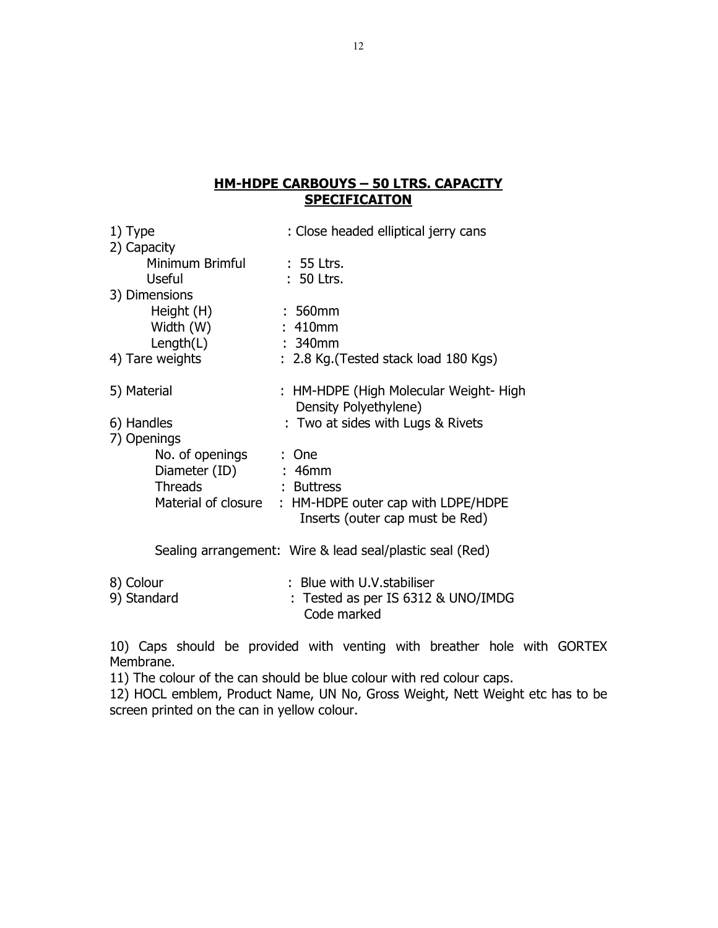## **HM-HDPE CARBOUYS – 50 LTRS. CAPACITY SPECIFICAITON**

| 1) Type                  |                       | : Close headed elliptical jerry cans                                                      |  |  |
|--------------------------|-----------------------|-------------------------------------------------------------------------------------------|--|--|
| 2) Capacity              |                       |                                                                                           |  |  |
|                          | Minimum Brimful       | $: 55$ Ltrs.                                                                              |  |  |
|                          | Useful                | $: 50$ Ltrs.                                                                              |  |  |
|                          | 3) Dimensions         |                                                                                           |  |  |
|                          | Height (H)            | $:560$ mm                                                                                 |  |  |
|                          | Width (W)             | : 410mm                                                                                   |  |  |
|                          | Length $(L)$          | $: 340$ mm                                                                                |  |  |
|                          | 4) Tare weights       | : 2.8 Kg. (Tested stack load 180 Kgs)                                                     |  |  |
| 5) Material              |                       | : HM-HDPE (High Molecular Weight-High                                                     |  |  |
|                          |                       | Density Polyethylene)                                                                     |  |  |
| 6) Handles               |                       | : Two at sides with Lugs & Rivets                                                         |  |  |
| 7) Openings              |                       |                                                                                           |  |  |
|                          | No. of openings : One |                                                                                           |  |  |
|                          | Diameter (ID) : 46mm  |                                                                                           |  |  |
|                          | <b>Threads</b>        | : Buttress                                                                                |  |  |
|                          |                       | Material of closure : HM-HDPE outer cap with LDPE/HDPE<br>Inserts (outer cap must be Red) |  |  |
|                          |                       | Sealing arrangement: Wire & lead seal/plastic seal (Red)                                  |  |  |
| 8) Colour<br>9) Standard |                       | : Blue with U.V. stabiliser<br>Tested as per IS 6312 & UNO/IMDG<br>Code marked            |  |  |

10) Caps should be provided with venting with breather hole with GORTEX Membrane.

11) The colour of the can should be blue colour with red colour caps.

12) HOCL emblem, Product Name, UN No, Gross Weight, Nett Weight etc has to be screen printed on the can in yellow colour.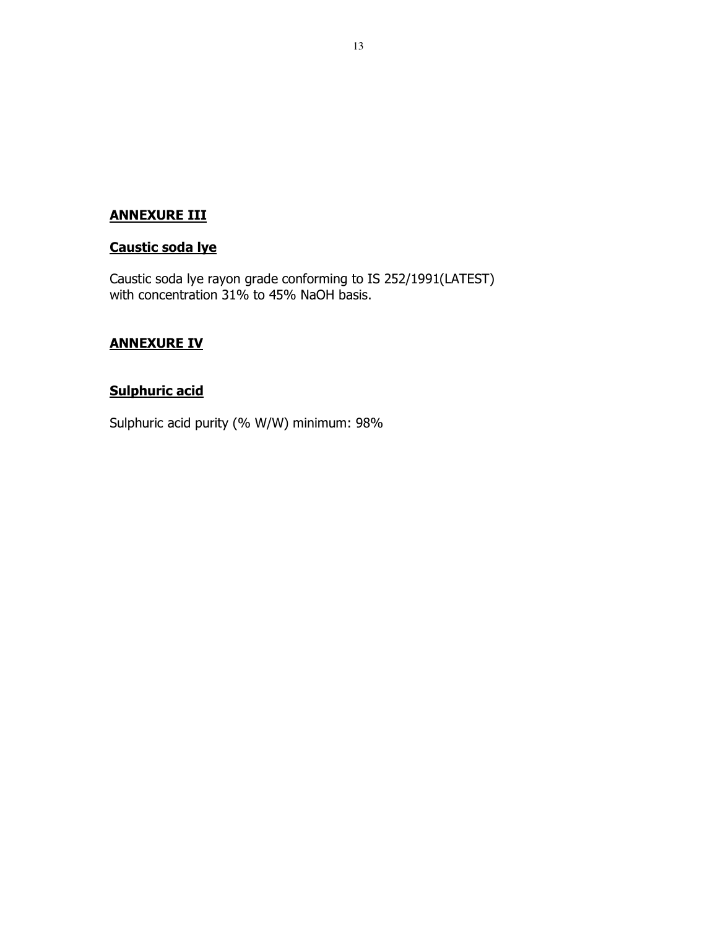## **ANNEXURE III**

## **Caustic soda lye**

Caustic soda lye rayon grade conforming to IS 252/1991(LATEST) with concentration 31% to 45% NaOH basis.

## **ANNEXURE IV**

## **Sulphuric acid**

Sulphuric acid purity (% W/W) minimum: 98%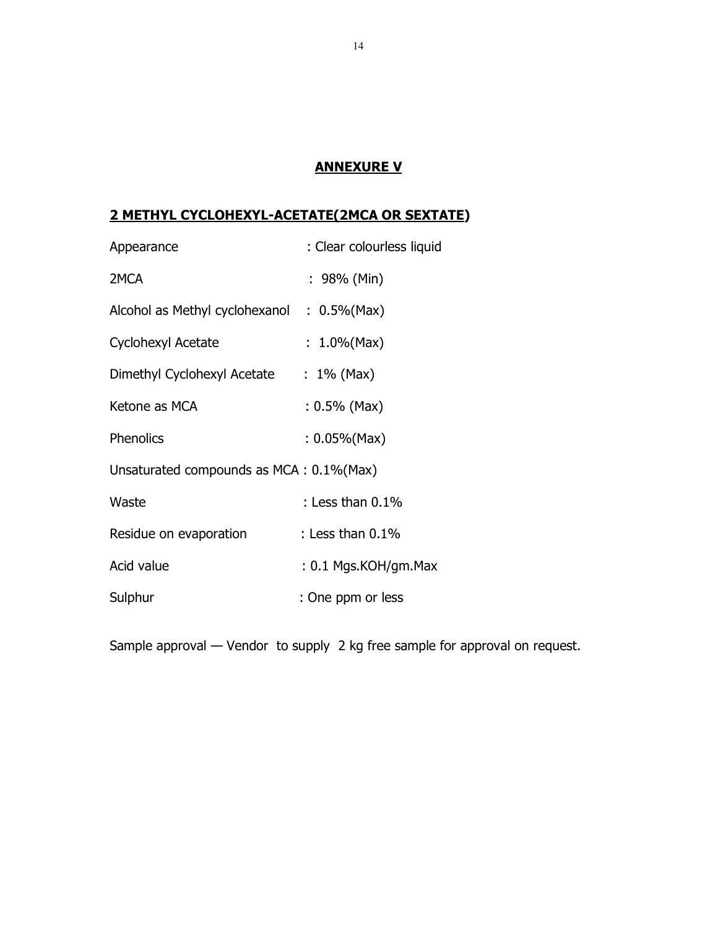## **ANNEXURE V**

## **2 METHYL CYCLOHEXYL-ACETATE(2MCA OR SEXTATE)**

| Appearance                                  | : Clear colourless liquid |
|---------------------------------------------|---------------------------|
| 2MCA                                        | : 98% (Min)               |
| Alcohol as Methyl cyclohexanol : 0.5% (Max) |                           |
| Cyclohexyl Acetate                          | : $1.0\%$ (Max)           |
| Dimethyl Cyclohexyl Acetate                 | $: 1\%$ (Max)             |
| Ketone as MCA                               | $: 0.5\%$ (Max)           |
| Phenolics                                   | $: 0.05\%$ (Max)          |
| Unsaturated compounds as MCA: 0.1% (Max)    |                           |
| Waste                                       | : Less than $0.1\%$       |
| Residue on evaporation                      | : Less than $0.1\%$       |
| Acid value                                  | $: 0.1$ Mgs.KOH/gm.Max    |
| Sulphur                                     | : One ppm or less         |

Sample approval — Vendor to supply 2 kg free sample for approval on request.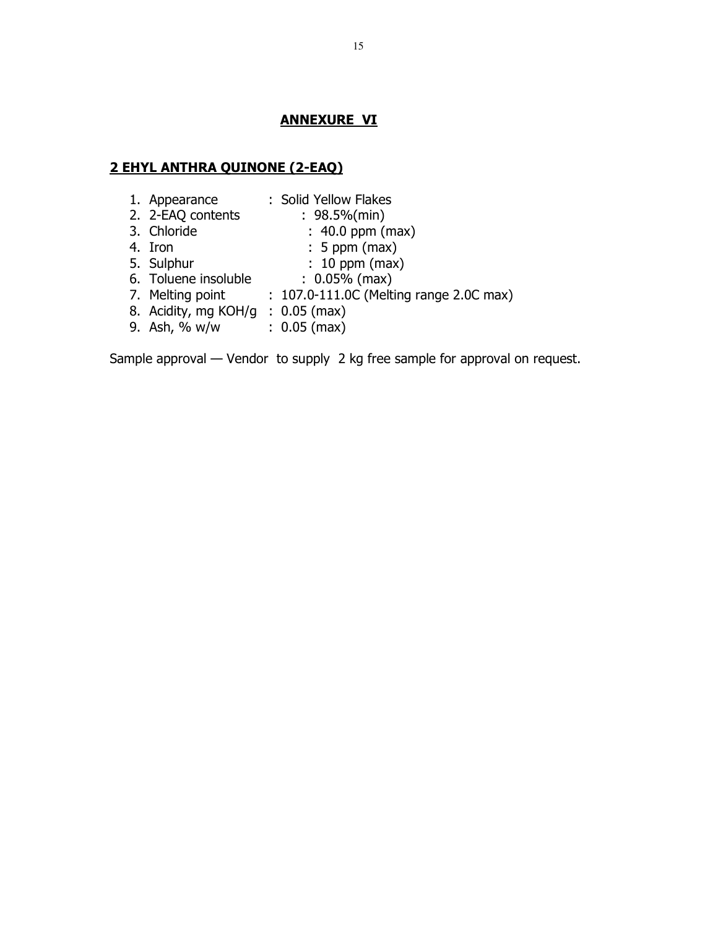#### **ANNEXURE VI**

#### **2 EHYL ANTHRA QUINONE (2-EAQ)**

- 1. Appearance : Solid Yellow Flakes
- 2. 2-EAQ contents : 98.5%(min)
- 3. Chloride : 40.0 ppm (max)<br>4. Iron : 5 ppm (max)
- $\colon$  5 ppm (max)
	-
- 5. Sulphur : 10 ppm (max)<br>6. Toluene insoluble : 0.05% (max) 6. Toluene insoluble
- 7. Melting point : 107.0-111.0C (Melting range 2.0C max)
- 8. Acidity, mg KOH/g : 0.05 (max)
- 9. Ash, % w/w : 0.05 (max)

Sample approval — Vendor to supply 2 kg free sample for approval on request.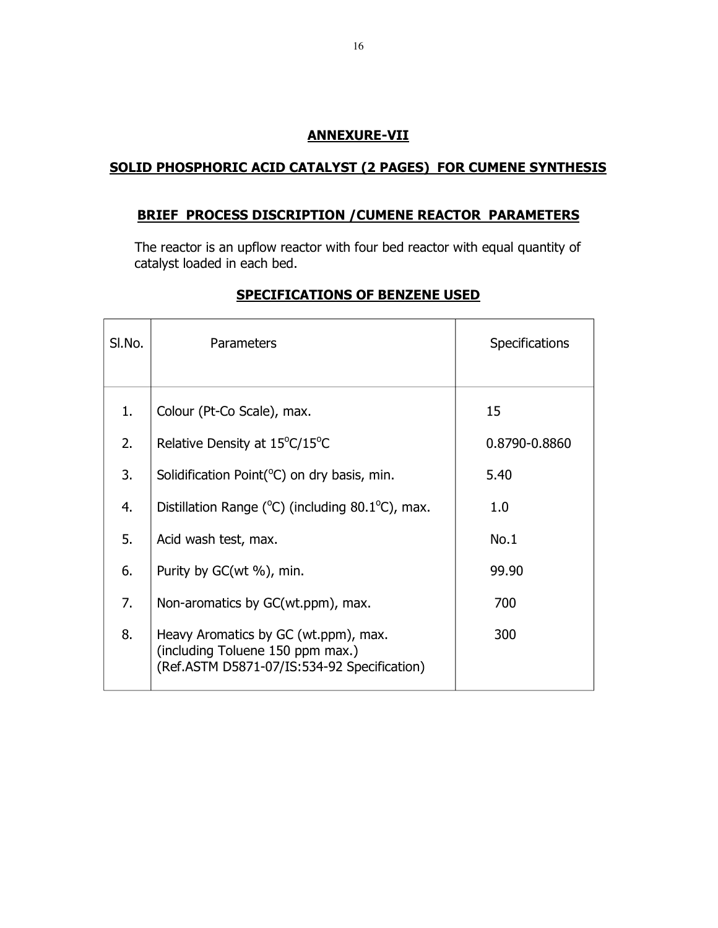## **ANNEXURE-VII**

## **SOLID PHOSPHORIC ACID CATALYST (2 PAGES) FOR CUMENE SYNTHESIS**

## **BRIEF PROCESS DISCRIPTION /CUMENE REACTOR PARAMETERS**

The reactor is an upflow reactor with four bed reactor with equal quantity of catalyst loaded in each bed.

| SI.No. | Parameters                                                                                                              | <b>Specifications</b> |
|--------|-------------------------------------------------------------------------------------------------------------------------|-----------------------|
| 1.     | Colour (Pt-Co Scale), max.                                                                                              | 15                    |
| 2.     | Relative Density at 15°C/15°C                                                                                           | 0.8790-0.8860         |
| 3.     | Solidification Point(°C) on dry basis, min.                                                                             | 5.40                  |
| 4.     | Distillation Range ( $^{\circ}$ C) (including 80.1 $^{\circ}$ C), max.                                                  | 1.0                   |
| 5.     | Acid wash test, max.                                                                                                    | No.1                  |
| 6.     | Purity by GC(wt %), min.                                                                                                | 99.90                 |
| 7.     | Non-aromatics by GC(wt.ppm), max.                                                                                       | 700                   |
| 8.     | Heavy Aromatics by GC (wt.ppm), max.<br>(including Toluene 150 ppm max.)<br>(Ref.ASTM D5871-07/IS:534-92 Specification) | 300                   |

## **SPECIFICATIONS OF BENZENE USED**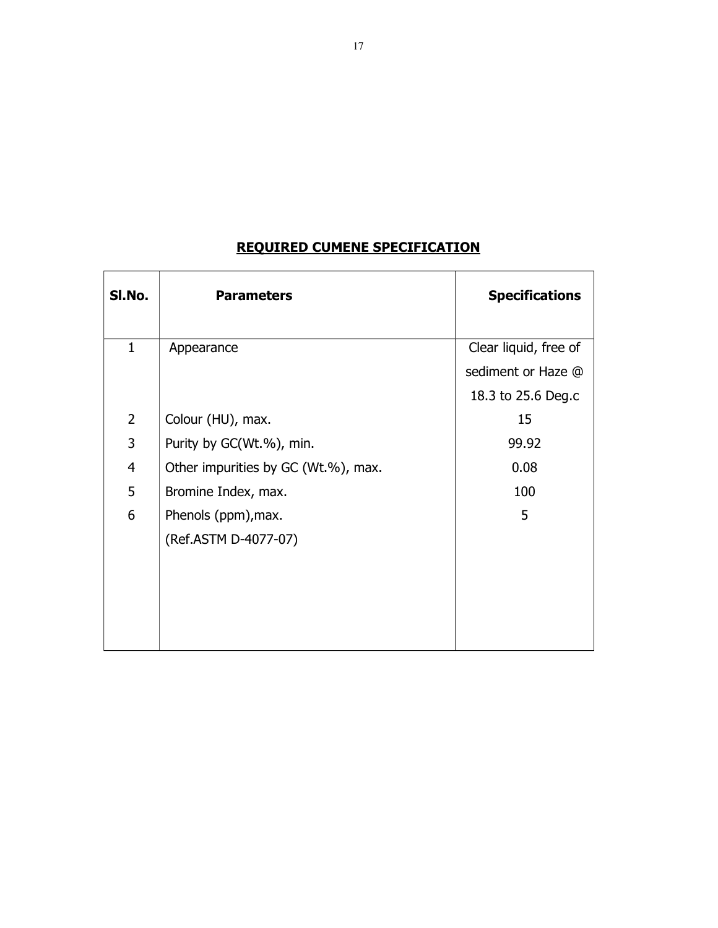| SI.No.         | <b>Parameters</b>                   | <b>Specifications</b> |
|----------------|-------------------------------------|-----------------------|
| $\mathbf{1}$   | Appearance                          | Clear liquid, free of |
|                |                                     | sediment or Haze @    |
|                |                                     | 18.3 to 25.6 Deg.c    |
| $\overline{2}$ | Colour (HU), max.                   | 15                    |
| 3              | Purity by GC(Wt.%), min.            | 99.92                 |
| $\overline{4}$ | Other impurities by GC (Wt.%), max. | 0.08                  |
| 5              | Bromine Index, max.                 | 100                   |
| 6              | Phenols (ppm), max.                 | 5                     |
|                | (Ref.ASTM D-4077-07)                |                       |
|                |                                     |                       |
|                |                                     |                       |
|                |                                     |                       |
|                |                                     |                       |

## **REQUIRED CUMENE SPECIFICATION**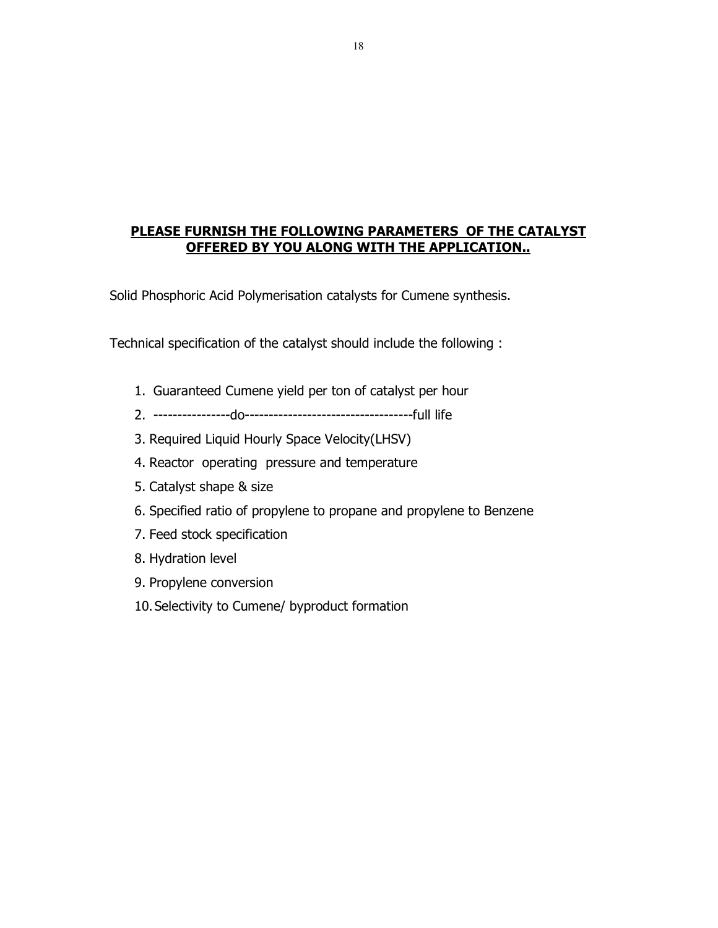## **PLEASE FURNISH THE FOLLOWING PARAMETERS OF THE CATALYST OFFERED BY YOU ALONG WITH THE APPLICATION..**

Solid Phosphoric Acid Polymerisation catalysts for Cumene synthesis.

Technical specification of the catalyst should include the following :

- 1. Guaranteed Cumene yield per ton of catalyst per hour
- 2. ----------------do-----------------------------------full life
- 3. Required Liquid Hourly Space Velocity(LHSV)
- 4. Reactor operating pressure and temperature
- 5. Catalyst shape & size
- 6. Specified ratio of propylene to propane and propylene to Benzene
- 7. Feed stock specification
- 8. Hydration level
- 9. Propylene conversion
- 10.Selectivity to Cumene/ byproduct formation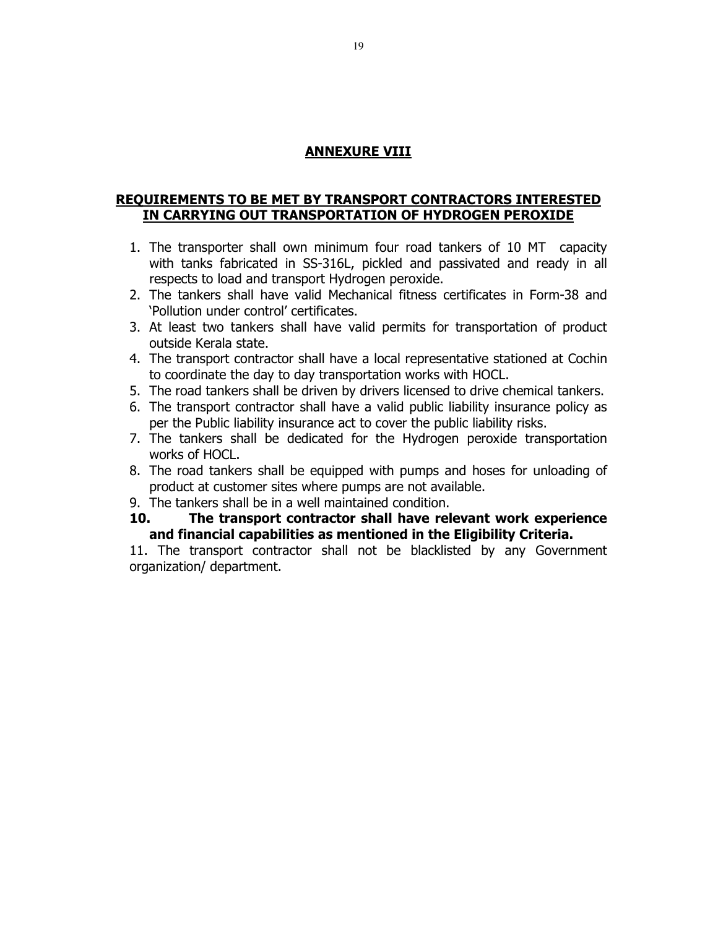## **ANNEXURE VIII**

## **REQUIREMENTS TO BE MET BY TRANSPORT CONTRACTORS INTERESTED IN CARRYING OUT TRANSPORTATION OF HYDROGEN PEROXIDE**

- 1. The transporter shall own minimum four road tankers of 10 MT capacity with tanks fabricated in SS-316L, pickled and passivated and ready in all respects to load and transport Hydrogen peroxide.
- 2. The tankers shall have valid Mechanical fitness certificates in Form-38 and 'Pollution under control' certificates.
- 3. At least two tankers shall have valid permits for transportation of product outside Kerala state.
- 4. The transport contractor shall have a local representative stationed at Cochin to coordinate the day to day transportation works with HOCL.
- 5. The road tankers shall be driven by drivers licensed to drive chemical tankers.
- 6. The transport contractor shall have a valid public liability insurance policy as per the Public liability insurance act to cover the public liability risks.
- 7. The tankers shall be dedicated for the Hydrogen peroxide transportation works of HOCL.
- 8. The road tankers shall be equipped with pumps and hoses for unloading of product at customer sites where pumps are not available.
- 9. The tankers shall be in a well maintained condition.
- **10. The transport contractor shall have relevant work experience and financial capabilities as mentioned in the Eligibility Criteria.**

11. The transport contractor shall not be blacklisted by any Government organization/ department.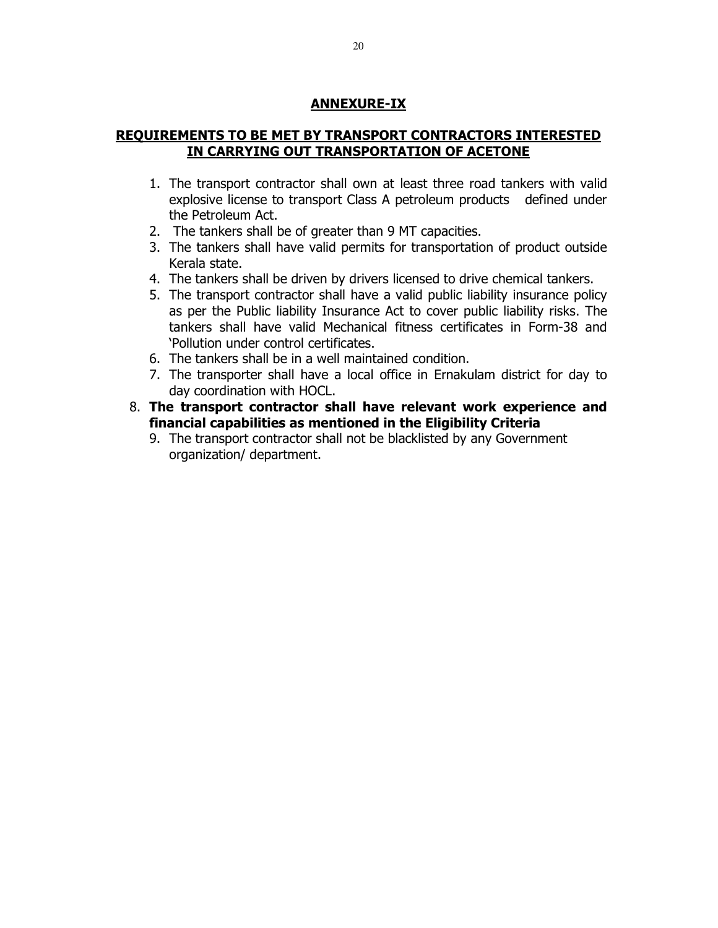## **ANNEXURE-IX**

## **REQUIREMENTS TO BE MET BY TRANSPORT CONTRACTORS INTERESTED IN CARRYING OUT TRANSPORTATION OF ACETONE**

- 1. The transport contractor shall own at least three road tankers with valid explosive license to transport Class A petroleum products defined under the Petroleum Act.
- 2. The tankers shall be of greater than 9 MT capacities.
- 3. The tankers shall have valid permits for transportation of product outside Kerala state.
- 4. The tankers shall be driven by drivers licensed to drive chemical tankers.
- 5. The transport contractor shall have a valid public liability insurance policy as per the Public liability Insurance Act to cover public liability risks. The tankers shall have valid Mechanical fitness certificates in Form-38 and 'Pollution under control certificates.
- 6. The tankers shall be in a well maintained condition.
- 7. The transporter shall have a local office in Ernakulam district for day to day coordination with HOCL.
- 8. **The transport contractor shall have relevant work experience and financial capabilities as mentioned in the Eligibility Criteria**
	- 9. The transport contractor shall not be blacklisted by any Government organization/ department.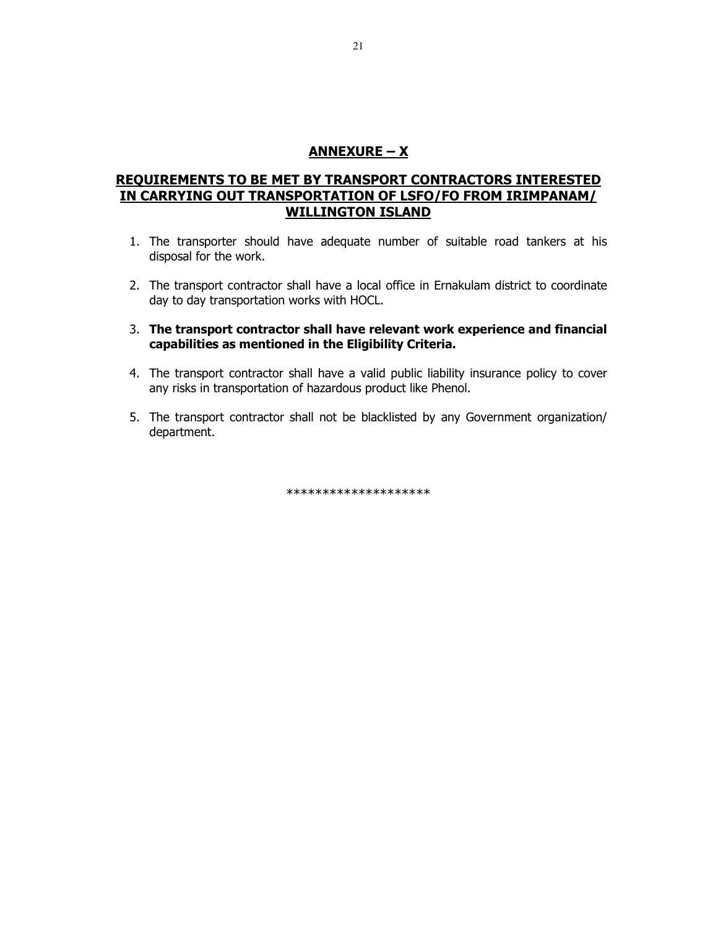## **ANNEXURE – X**

## **REQUIREMENTS TO BE MET BY TRANSPORT CONTRACTORS INTERESTED IN CARRYING OUT TRANSPORTATION OF LSFO/FO FROM IRIMPANAM/ WILLINGTON ISLAND**

- 1. The transporter should have adequate number of suitable road tankers at his disposal for the work.
- 2. The transport contractor shall have a local office in Ernakulam district to coordinate day to day transportation works with HOCL.
- 3. **The transport contractor shall have relevant work experience and financial capabilities as mentioned in the Eligibility Criteria.**
- 4. The transport contractor shall have a valid public liability insurance policy to cover any risks in transportation of hazardous product like Phenol.
- 5. The transport contractor shall not be blacklisted by any Government organization/ department.

\*\*\*\*\*\*\*\*\*\*\*\*\*\*\*\*\*\*\*\*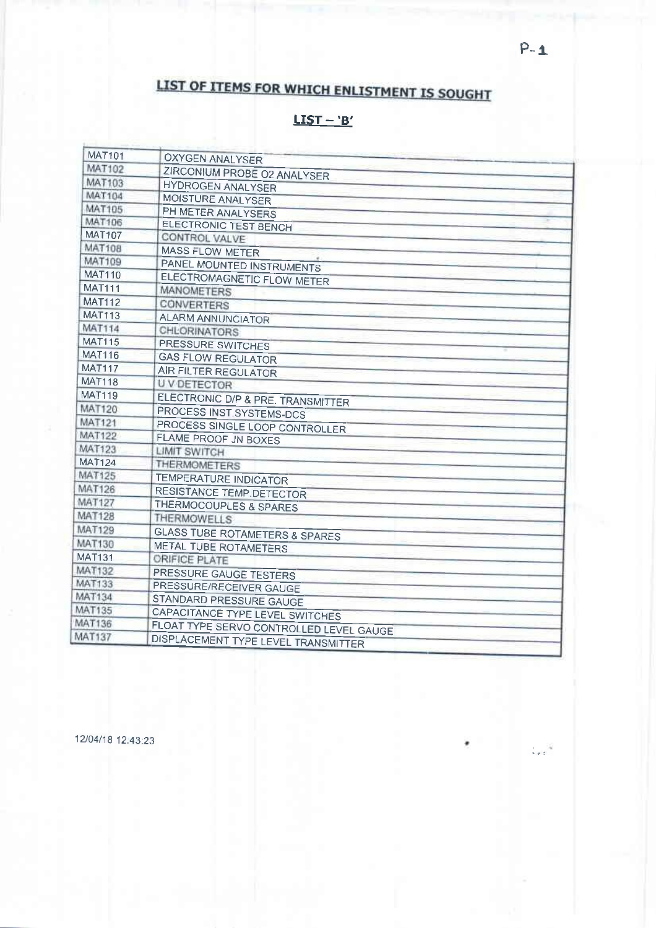# LIST OF ITEMS FOR WHICH ENLISTMENT IS SOUGHT

## <u> LIST - 'B'</u>

| <b>MAT101</b> | <b>OXYGEN ANALYSER</b>                    |
|---------------|-------------------------------------------|
| MAT102        | ZIRCONIUM PROBE O2 ANALYSER               |
| <b>MAT103</b> | <b>HYDROGEN ANALYSER</b>                  |
| <b>MAT104</b> | MOISTURE ANALYSER                         |
| <b>MAT105</b> | PH METER ANALYSERS                        |
| <b>MAT106</b> | ELECTRONIC TEST BENCH                     |
| <b>MAT107</b> | CONTROL VALVE                             |
| <b>MAT108</b> | <b>MASS FLOW METER</b>                    |
| <b>MAT109</b> | PANEL MOUNTED INSTRUMENTS                 |
| <b>MAT110</b> | ELECTROMAGNETIC FLOW METER                |
| <b>MAT111</b> | <b>MANOMETERS</b>                         |
| <b>MAT112</b> | <b>CONVERTERS</b>                         |
| <b>MAT113</b> | <b>ALARM ANNUNCIATOR</b>                  |
| <b>MAT114</b> | CHLORINATORS                              |
| <b>MAT115</b> | PRESSURE SWITCHES                         |
| <b>MAT116</b> | <b>GAS FLOW REGULATOR</b>                 |
| <b>MAT117</b> | AIR FILTER REGULATOR                      |
| <b>MAT118</b> | <b>UVDETECTOR</b>                         |
| <b>MAT119</b> | ELECTRONIC D/P & PRE. TRANSMITTER         |
| <b>MAT120</b> | PROCESS INST.SYSTEMS-DCS                  |
| <b>MAT121</b> | PROCESS SINGLE LOOP CONTROLLER            |
| <b>MAT122</b> | FLAME PROOF JN BOXES                      |
| <b>MAT123</b> | <b>LIMIT SWITCH</b>                       |
| <b>MAT124</b> | <b>THERMOMETERS</b>                       |
| <b>MAT125</b> | <b>TEMPERATURE INDICATOR</b>              |
| <b>MAT126</b> | <b>RESISTANCE TEMP.DETECTOR</b>           |
| <b>MAT127</b> | <b>THERMOCOUPLES &amp; SPARES</b>         |
| <b>MAT128</b> | <b>THERMOWELLS</b>                        |
| <b>MAT129</b> | <b>GLASS TUBE ROTAMETERS &amp; SPARES</b> |
| <b>MAT130</b> | METAL TUBE ROTAMETERS                     |
| <b>MAT131</b> | ORIFICE PLATE                             |
| <b>MAT132</b> | PRESSURE GAUGE TESTERS                    |
| <b>MAT133</b> | PRESSURE/RECEIVER GAUGE                   |
| <b>MAT134</b> | STANDARD PRESSURE GAUGE                   |
| <b>MAT135</b> | CAPACITANCE TYPE LEVEL SWITCHES           |
| <b>MAT136</b> | FLOAT TYPE SERVO CONTROLLED LEVEL GAUGE   |
| <b>MAT137</b> | DISPLACEMENT TYPE LEVEL TRANSMITTER       |
|               |                                           |

12/04/18 12:43:23

 $\mathcal{L}_{\text{eff}}^{(1)}$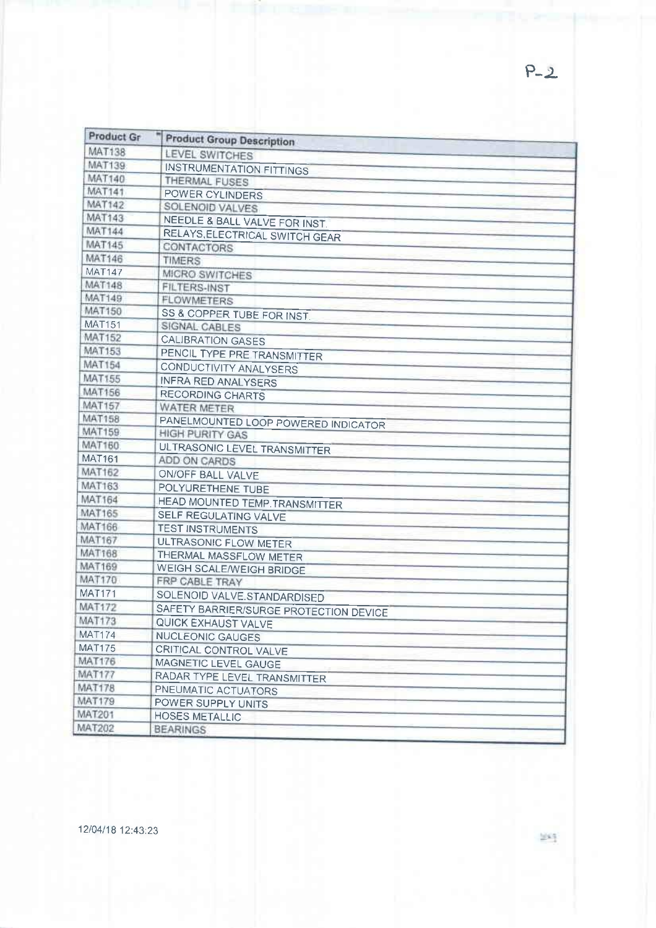| Product Gr    | <b>Product Group Description</b>       |
|---------------|----------------------------------------|
| <b>MAT138</b> | LEVEL SWITCHES                         |
| <b>MAT139</b> | <b>INSTRUMENTATION FITTINGS</b>        |
| <b>MAT140</b> | THERMAL FUSES                          |
| <b>MAT141</b> | POWER CYLINDERS                        |
| <b>MAT142</b> | SOLENOID VALVES                        |
| <b>MAT143</b> | NEEDLE & BALL VALVE FOR INST.          |
| <b>MAT144</b> | RELAYS, ELECTRICAL SWITCH GEAR         |
| MAT145        | CONTACTORS                             |
| <b>MAT146</b> | <b>TIMERS</b>                          |
| <b>MAT147</b> | MICRO SWITCHES                         |
| <b>MAT148</b> | <b>FILTERS-INST</b>                    |
| <b>MAT149</b> | <b>FLOWMETERS</b>                      |
| <b>MAT150</b> | SS & COPPER TUBE FOR INST.             |
| <b>MAT151</b> | SIGNAL CABLES                          |
| <b>MAT152</b> | <b>CALIBRATION GASES</b>               |
| <b>MAT153</b> | PENCIL TYPE PRE TRANSMITTER            |
| MAT154        | CONDUCTIVITY ANALYSERS                 |
| <b>MAT155</b> | <b>INFRA RED ANALYSERS</b>             |
| MAT156        | <b>RECORDING CHARTS</b>                |
| <b>MAT157</b> | <b>WATER METER</b>                     |
| <b>MAT158</b> | PANELMOUNTED LOOP POWERED INDICATOR    |
| <b>MAT159</b> | <b>HIGH PURITY GAS</b>                 |
| <b>MAT160</b> | ULTRASONIC LEVEL TRANSMITTER           |
| <b>MAT161</b> | ADD ON CARDS                           |
| <b>MAT162</b> | ON/OFF BALL VALVE                      |
| <b>MAT163</b> | POLYURETHENE TUBE                      |
| <b>MAT164</b> | HEAD MOUNTED TEMP. TRANSMITTER         |
| <b>MAT165</b> | SELF REGULATING VALVE                  |
| <b>MAT166</b> | <b>TEST INSTRUMENTS</b>                |
| <b>MAT167</b> | <b>ULTRASONIC FLOW METER</b>           |
| <b>MAT168</b> | THERMAL MASSFLOW METER                 |
| <b>MAT169</b> | WEIGH SCALE/WEIGH BRIDGE               |
| <b>MAT170</b> | FRP CABLE TRAY                         |
| <b>MAT171</b> | SOLENOID VALVE.STANDARDISED            |
| <b>MAT172</b> | SAFETY BARRIER/SURGE PROTECTION DEVICE |
| <b>MAT173</b> | QUICK EXHAUST VALVE                    |
| <b>MAT174</b> | <b>NUCLEONIC GAUGES</b>                |
| <b>MAT175</b> | CRITICAL CONTROL VALVE                 |
| <b>MAT176</b> | MAGNETIC LEVEL GAUGE                   |
| MAT177        | RADAR TYPE LEVEL TRANSMITTER           |
| <b>MAT178</b> | PNEUMATIC ACTUATORS                    |
| <b>MAT179</b> | POWER SUPPLY UNITS                     |
| MAT201        | <b>HOSES METALLIC</b>                  |
| <b>MAT202</b> | <b>BEARINGS</b>                        |

 $P - 2$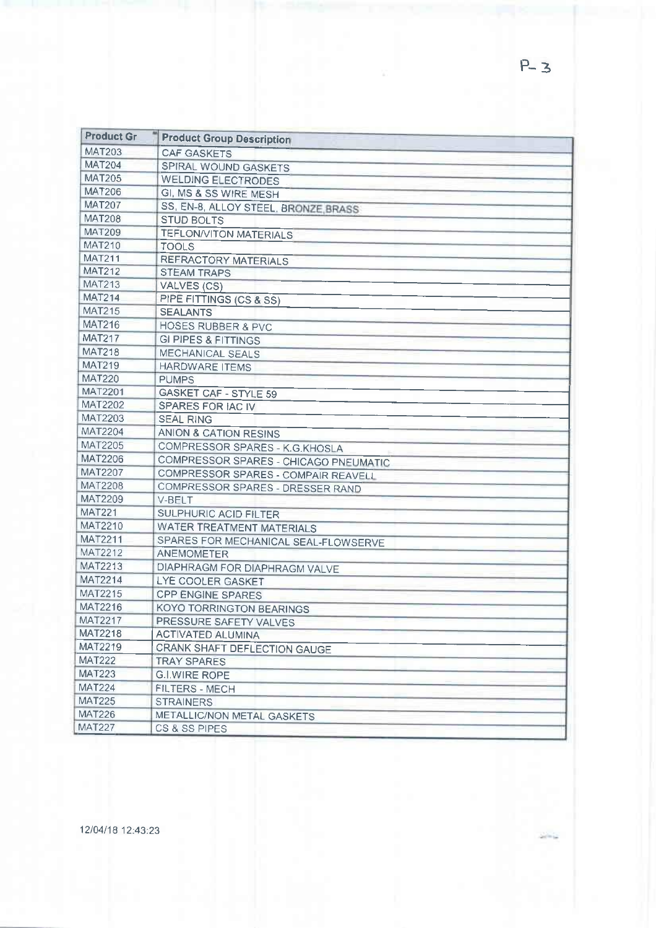| <b>MAT203</b><br><b>CAF GASKETS</b><br><b>MAT204</b><br>SPIRAL WOUND GASKETS<br><b>MAT205</b><br><b>WELDING ELECTRODES</b><br><b>MAT206</b><br>GI, MS & SS WIRE MESH<br><b>MAT207</b><br>SS, EN-8, ALLOY STEEL, BRONZE BRASS<br><b>MAT208</b><br><b>STUD BOLTS</b><br><b>MAT209</b><br><b>TEFLON/VITON MATERIALS</b><br><b>MAT210</b><br>TOOLS<br><b>MAT211</b><br><b>REFRACTORY MATERIALS</b><br><b>MAT212</b><br><b>STEAM TRAPS</b><br><b>MAT213</b><br>VALVES (CS)<br><b>MAT214</b><br>PIPE FITTINGS (CS & SS)<br><b>MAT215</b><br><b>SEALANTS</b><br><b>HOSES RUBBER &amp; PVC</b><br><b>MAT217</b><br><b>GI PIPES &amp; FITTINGS</b><br><b>MECHANICAL SEALS</b><br><b>HARDWARE ITEMS</b><br><b>PUMPS</b><br><b>GASKET CAF - STYLE 59</b><br>SPARES FOR IAC IV<br><b>SEAL RING</b><br><b>ANION &amp; CATION RESINS</b><br>COMPRESSOR SPARES - K.G.KHOSLA<br>COMPRESSOR SPARES - CHICAGO PNEUMATIC<br>COMPRESSOR SPARES - COMPAIR REAVELL<br>COMPRESSOR SPARES - DRESSER RAND<br>V-BELT<br><b>SULPHURIC ACID FILTER</b><br><b>WATER TREATMENT MATERIALS</b><br>SPARES FOR MECHANICAL SEAL-FLOWSERVE<br><b>ANEMOMETER</b><br>DIAPHRAGM FOR DIAPHRAGM VALVE<br>LYE COOLER GASKET<br><b>CPP ENGINE SPARES</b><br><b>KOYO TORRINGTON BEARINGS</b><br>PRESSURE SAFETY VALVES<br><b>ACTIVATED ALUMINA</b><br>CRANK SHAFT DEFLECTION GAUGE<br><b>TRAY SPARES</b><br><b>G.I.WIRE ROPE</b><br>FILTERS - MECH<br><b>STRAINERS</b><br>METALLIC/NON METAL GASKETS<br>CS & SS PIPES | <b>Product Gr</b> | <b>Product Group Description</b> |
|---------------------------------------------------------------------------------------------------------------------------------------------------------------------------------------------------------------------------------------------------------------------------------------------------------------------------------------------------------------------------------------------------------------------------------------------------------------------------------------------------------------------------------------------------------------------------------------------------------------------------------------------------------------------------------------------------------------------------------------------------------------------------------------------------------------------------------------------------------------------------------------------------------------------------------------------------------------------------------------------------------------------------------------------------------------------------------------------------------------------------------------------------------------------------------------------------------------------------------------------------------------------------------------------------------------------------------------------------------------------------------------------------------------------------------------------------------------------------|-------------------|----------------------------------|
|                                                                                                                                                                                                                                                                                                                                                                                                                                                                                                                                                                                                                                                                                                                                                                                                                                                                                                                                                                                                                                                                                                                                                                                                                                                                                                                                                                                                                                                                           |                   |                                  |
|                                                                                                                                                                                                                                                                                                                                                                                                                                                                                                                                                                                                                                                                                                                                                                                                                                                                                                                                                                                                                                                                                                                                                                                                                                                                                                                                                                                                                                                                           |                   |                                  |
|                                                                                                                                                                                                                                                                                                                                                                                                                                                                                                                                                                                                                                                                                                                                                                                                                                                                                                                                                                                                                                                                                                                                                                                                                                                                                                                                                                                                                                                                           |                   |                                  |
|                                                                                                                                                                                                                                                                                                                                                                                                                                                                                                                                                                                                                                                                                                                                                                                                                                                                                                                                                                                                                                                                                                                                                                                                                                                                                                                                                                                                                                                                           |                   |                                  |
|                                                                                                                                                                                                                                                                                                                                                                                                                                                                                                                                                                                                                                                                                                                                                                                                                                                                                                                                                                                                                                                                                                                                                                                                                                                                                                                                                                                                                                                                           |                   |                                  |
|                                                                                                                                                                                                                                                                                                                                                                                                                                                                                                                                                                                                                                                                                                                                                                                                                                                                                                                                                                                                                                                                                                                                                                                                                                                                                                                                                                                                                                                                           |                   |                                  |
|                                                                                                                                                                                                                                                                                                                                                                                                                                                                                                                                                                                                                                                                                                                                                                                                                                                                                                                                                                                                                                                                                                                                                                                                                                                                                                                                                                                                                                                                           |                   |                                  |
|                                                                                                                                                                                                                                                                                                                                                                                                                                                                                                                                                                                                                                                                                                                                                                                                                                                                                                                                                                                                                                                                                                                                                                                                                                                                                                                                                                                                                                                                           |                   |                                  |
|                                                                                                                                                                                                                                                                                                                                                                                                                                                                                                                                                                                                                                                                                                                                                                                                                                                                                                                                                                                                                                                                                                                                                                                                                                                                                                                                                                                                                                                                           |                   |                                  |
|                                                                                                                                                                                                                                                                                                                                                                                                                                                                                                                                                                                                                                                                                                                                                                                                                                                                                                                                                                                                                                                                                                                                                                                                                                                                                                                                                                                                                                                                           |                   |                                  |
|                                                                                                                                                                                                                                                                                                                                                                                                                                                                                                                                                                                                                                                                                                                                                                                                                                                                                                                                                                                                                                                                                                                                                                                                                                                                                                                                                                                                                                                                           |                   |                                  |
|                                                                                                                                                                                                                                                                                                                                                                                                                                                                                                                                                                                                                                                                                                                                                                                                                                                                                                                                                                                                                                                                                                                                                                                                                                                                                                                                                                                                                                                                           |                   |                                  |
|                                                                                                                                                                                                                                                                                                                                                                                                                                                                                                                                                                                                                                                                                                                                                                                                                                                                                                                                                                                                                                                                                                                                                                                                                                                                                                                                                                                                                                                                           |                   |                                  |
|                                                                                                                                                                                                                                                                                                                                                                                                                                                                                                                                                                                                                                                                                                                                                                                                                                                                                                                                                                                                                                                                                                                                                                                                                                                                                                                                                                                                                                                                           | <b>MAT216</b>     |                                  |
|                                                                                                                                                                                                                                                                                                                                                                                                                                                                                                                                                                                                                                                                                                                                                                                                                                                                                                                                                                                                                                                                                                                                                                                                                                                                                                                                                                                                                                                                           |                   |                                  |
|                                                                                                                                                                                                                                                                                                                                                                                                                                                                                                                                                                                                                                                                                                                                                                                                                                                                                                                                                                                                                                                                                                                                                                                                                                                                                                                                                                                                                                                                           | <b>MAT218</b>     |                                  |
|                                                                                                                                                                                                                                                                                                                                                                                                                                                                                                                                                                                                                                                                                                                                                                                                                                                                                                                                                                                                                                                                                                                                                                                                                                                                                                                                                                                                                                                                           | <b>MAT219</b>     |                                  |
|                                                                                                                                                                                                                                                                                                                                                                                                                                                                                                                                                                                                                                                                                                                                                                                                                                                                                                                                                                                                                                                                                                                                                                                                                                                                                                                                                                                                                                                                           | <b>MAT220</b>     |                                  |
|                                                                                                                                                                                                                                                                                                                                                                                                                                                                                                                                                                                                                                                                                                                                                                                                                                                                                                                                                                                                                                                                                                                                                                                                                                                                                                                                                                                                                                                                           | <b>MAT2201</b>    |                                  |
|                                                                                                                                                                                                                                                                                                                                                                                                                                                                                                                                                                                                                                                                                                                                                                                                                                                                                                                                                                                                                                                                                                                                                                                                                                                                                                                                                                                                                                                                           | MAT2202           |                                  |
|                                                                                                                                                                                                                                                                                                                                                                                                                                                                                                                                                                                                                                                                                                                                                                                                                                                                                                                                                                                                                                                                                                                                                                                                                                                                                                                                                                                                                                                                           | <b>MAT2203</b>    |                                  |
|                                                                                                                                                                                                                                                                                                                                                                                                                                                                                                                                                                                                                                                                                                                                                                                                                                                                                                                                                                                                                                                                                                                                                                                                                                                                                                                                                                                                                                                                           | <b>MAT2204</b>    |                                  |
|                                                                                                                                                                                                                                                                                                                                                                                                                                                                                                                                                                                                                                                                                                                                                                                                                                                                                                                                                                                                                                                                                                                                                                                                                                                                                                                                                                                                                                                                           | <b>MAT2205</b>    |                                  |
|                                                                                                                                                                                                                                                                                                                                                                                                                                                                                                                                                                                                                                                                                                                                                                                                                                                                                                                                                                                                                                                                                                                                                                                                                                                                                                                                                                                                                                                                           | MAT2206           |                                  |
|                                                                                                                                                                                                                                                                                                                                                                                                                                                                                                                                                                                                                                                                                                                                                                                                                                                                                                                                                                                                                                                                                                                                                                                                                                                                                                                                                                                                                                                                           | MAT2207           |                                  |
|                                                                                                                                                                                                                                                                                                                                                                                                                                                                                                                                                                                                                                                                                                                                                                                                                                                                                                                                                                                                                                                                                                                                                                                                                                                                                                                                                                                                                                                                           | <b>MAT2208</b>    |                                  |
|                                                                                                                                                                                                                                                                                                                                                                                                                                                                                                                                                                                                                                                                                                                                                                                                                                                                                                                                                                                                                                                                                                                                                                                                                                                                                                                                                                                                                                                                           | MAT2209           |                                  |
|                                                                                                                                                                                                                                                                                                                                                                                                                                                                                                                                                                                                                                                                                                                                                                                                                                                                                                                                                                                                                                                                                                                                                                                                                                                                                                                                                                                                                                                                           | <b>MAT221</b>     |                                  |
|                                                                                                                                                                                                                                                                                                                                                                                                                                                                                                                                                                                                                                                                                                                                                                                                                                                                                                                                                                                                                                                                                                                                                                                                                                                                                                                                                                                                                                                                           | MAT2210           |                                  |
|                                                                                                                                                                                                                                                                                                                                                                                                                                                                                                                                                                                                                                                                                                                                                                                                                                                                                                                                                                                                                                                                                                                                                                                                                                                                                                                                                                                                                                                                           | <b>MAT2211</b>    |                                  |
|                                                                                                                                                                                                                                                                                                                                                                                                                                                                                                                                                                                                                                                                                                                                                                                                                                                                                                                                                                                                                                                                                                                                                                                                                                                                                                                                                                                                                                                                           | <b>MAT2212</b>    |                                  |
|                                                                                                                                                                                                                                                                                                                                                                                                                                                                                                                                                                                                                                                                                                                                                                                                                                                                                                                                                                                                                                                                                                                                                                                                                                                                                                                                                                                                                                                                           | MAT2213           |                                  |
|                                                                                                                                                                                                                                                                                                                                                                                                                                                                                                                                                                                                                                                                                                                                                                                                                                                                                                                                                                                                                                                                                                                                                                                                                                                                                                                                                                                                                                                                           | <b>MAT2214</b>    |                                  |
|                                                                                                                                                                                                                                                                                                                                                                                                                                                                                                                                                                                                                                                                                                                                                                                                                                                                                                                                                                                                                                                                                                                                                                                                                                                                                                                                                                                                                                                                           | MAT2215           |                                  |
|                                                                                                                                                                                                                                                                                                                                                                                                                                                                                                                                                                                                                                                                                                                                                                                                                                                                                                                                                                                                                                                                                                                                                                                                                                                                                                                                                                                                                                                                           | <b>MAT2216</b>    |                                  |
|                                                                                                                                                                                                                                                                                                                                                                                                                                                                                                                                                                                                                                                                                                                                                                                                                                                                                                                                                                                                                                                                                                                                                                                                                                                                                                                                                                                                                                                                           | <b>MAT2217</b>    |                                  |
|                                                                                                                                                                                                                                                                                                                                                                                                                                                                                                                                                                                                                                                                                                                                                                                                                                                                                                                                                                                                                                                                                                                                                                                                                                                                                                                                                                                                                                                                           | <b>MAT2218</b>    |                                  |
|                                                                                                                                                                                                                                                                                                                                                                                                                                                                                                                                                                                                                                                                                                                                                                                                                                                                                                                                                                                                                                                                                                                                                                                                                                                                                                                                                                                                                                                                           | MAT2219           |                                  |
|                                                                                                                                                                                                                                                                                                                                                                                                                                                                                                                                                                                                                                                                                                                                                                                                                                                                                                                                                                                                                                                                                                                                                                                                                                                                                                                                                                                                                                                                           | <b>MAT222</b>     |                                  |
|                                                                                                                                                                                                                                                                                                                                                                                                                                                                                                                                                                                                                                                                                                                                                                                                                                                                                                                                                                                                                                                                                                                                                                                                                                                                                                                                                                                                                                                                           | <b>MAT223</b>     |                                  |
|                                                                                                                                                                                                                                                                                                                                                                                                                                                                                                                                                                                                                                                                                                                                                                                                                                                                                                                                                                                                                                                                                                                                                                                                                                                                                                                                                                                                                                                                           | <b>MAT224</b>     |                                  |
|                                                                                                                                                                                                                                                                                                                                                                                                                                                                                                                                                                                                                                                                                                                                                                                                                                                                                                                                                                                                                                                                                                                                                                                                                                                                                                                                                                                                                                                                           | <b>MAT225</b>     |                                  |
|                                                                                                                                                                                                                                                                                                                                                                                                                                                                                                                                                                                                                                                                                                                                                                                                                                                                                                                                                                                                                                                                                                                                                                                                                                                                                                                                                                                                                                                                           | <b>MAT226</b>     |                                  |
|                                                                                                                                                                                                                                                                                                                                                                                                                                                                                                                                                                                                                                                                                                                                                                                                                                                                                                                                                                                                                                                                                                                                                                                                                                                                                                                                                                                                                                                                           | <b>MAT227</b>     |                                  |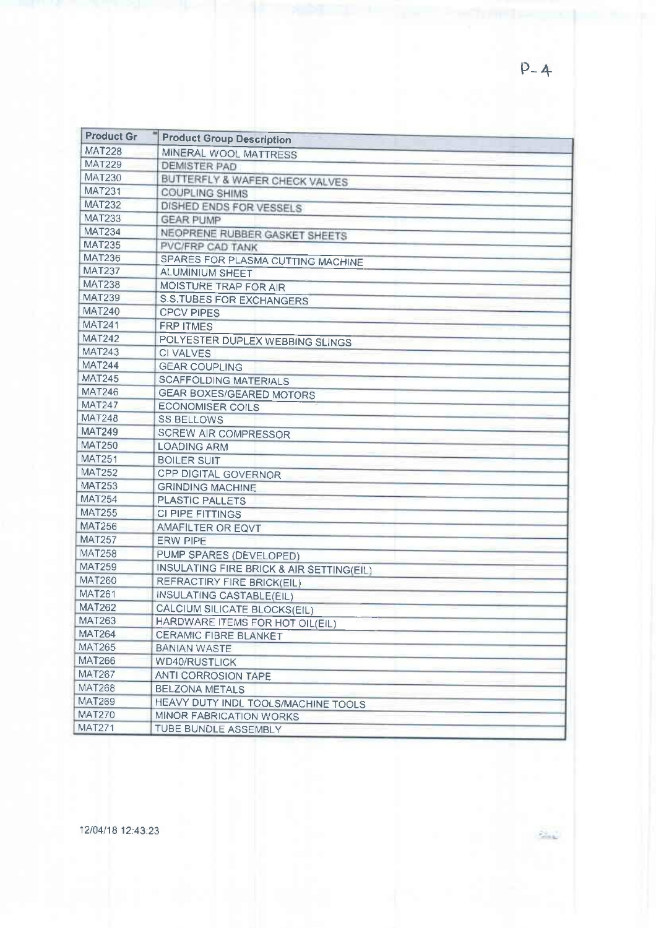| <b>Product Gr</b> | <b>Product Group Description</b>                                |
|-------------------|-----------------------------------------------------------------|
| <b>MAT228</b>     | MINERAL WOOL MATTRESS                                           |
| <b>MAT229</b>     | <b>DEMISTER PAD</b>                                             |
| <b>MAT230</b>     | BUTTERFLY & WAFER CHECK VALVES                                  |
| <b>MAT231</b>     | <b>COUPLING SHIMS</b>                                           |
| <b>MAT232</b>     | DISHED ENDS FOR VESSELS                                         |
| <b>MAT233</b>     | <b>GEAR PUMP</b>                                                |
| <b>MAT234</b>     | NEOPRENE RUBBER GASKET SHEETS                                   |
| <b>MAT235</b>     | PVC/FRP CAD TANK                                                |
| <b>MAT236</b>     | SPARES FOR PLASMA CUTTING MACHINE                               |
| <b>MAT237</b>     | <b>ALUMINIUM SHEET</b>                                          |
| <b>MAT238</b>     | MOISTURE TRAP FOR AIR                                           |
| <b>MAT239</b>     | <b>S.S.TUBES FOR EXCHANGERS</b>                                 |
| <b>MAT240</b>     | <b>CPCV PIPES</b>                                               |
| <b>MAT241</b>     | <b>FRP ITMES</b>                                                |
| <b>MAT242</b>     | POLYESTER DUPLEX WEBBING SLINGS                                 |
| <b>MAT243</b>     | <b>CI VALVES</b>                                                |
| <b>MAT244</b>     | <b>GEAR COUPLING</b>                                            |
| <b>MAT245</b>     | <b>SCAFFOLDING MATERIALS</b>                                    |
| <b>MAT246</b>     | <b>GEAR BOXES/GEARED MOTORS</b>                                 |
| <b>MAT247</b>     | <b>ECONOMISER COILS</b>                                         |
| <b>MAT248</b>     | <b>SS BELLOWS</b>                                               |
| <b>MAT249</b>     | <b>SCREW AIR COMPRESSOR</b>                                     |
| <b>MAT250</b>     | <b>LOADING ARM</b>                                              |
| <b>MAT251</b>     | <b>BOILER SUIT</b>                                              |
| <b>MAT252</b>     | <b>CPP DIGITAL GOVERNOR</b>                                     |
| <b>MAT253</b>     | <b>GRINDING MACHINE</b>                                         |
| <b>MAT254</b>     | <b>PLASTIC PALLETS</b>                                          |
| <b>MAT255</b>     | CI PIPE FITTINGS                                                |
| <b>MAT256</b>     | AMAFILTER OR EQVT                                               |
| <b>MAT257</b>     | <b>ERW PIPE</b>                                                 |
| <b>MAT258</b>     | PUMP SPARES (DEVELOPED)                                         |
| <b>MAT259</b>     | INSULATING FIRE BRICK & AIR SETTING(EIL)                        |
| <b>MAT260</b>     | <b>REFRACTIRY FIRE BRICK(EIL)</b>                               |
| <b>MAT261</b>     | INSULATING CASTABLE(EIL)                                        |
| <b>MAT262</b>     | <b>CALCIUM SILICATE BLOCKS(EIL)</b>                             |
| <b>MAT263</b>     |                                                                 |
| <b>MAT264</b>     | HARDWARE ITEMS FOR HOT OIL(EIL)<br><b>CERAMIC FIBRE BLANKET</b> |
| <b>MAT265</b>     | <b>BANIAN WASTE</b>                                             |
| <b>MAT266</b>     | <b>WD40/RUSTLICK</b>                                            |
| <b>MAT267</b>     |                                                                 |
| <b>MAT268</b>     | <b>ANTI CORROSION TAPE</b>                                      |
| <b>MAT269</b>     | <b>BELZONA METALS</b>                                           |
| <b>MAT270</b>     | HEAVY DUTY INDL TOOLS/MACHINE TOOLS                             |
| <b>MAT271</b>     | <b>MINOR FABRICATION WORKS</b>                                  |
|                   | TUBE BUNDLE ASSEMBLY                                            |

12/04/18 12:43:23

 $\frac{1}{2}$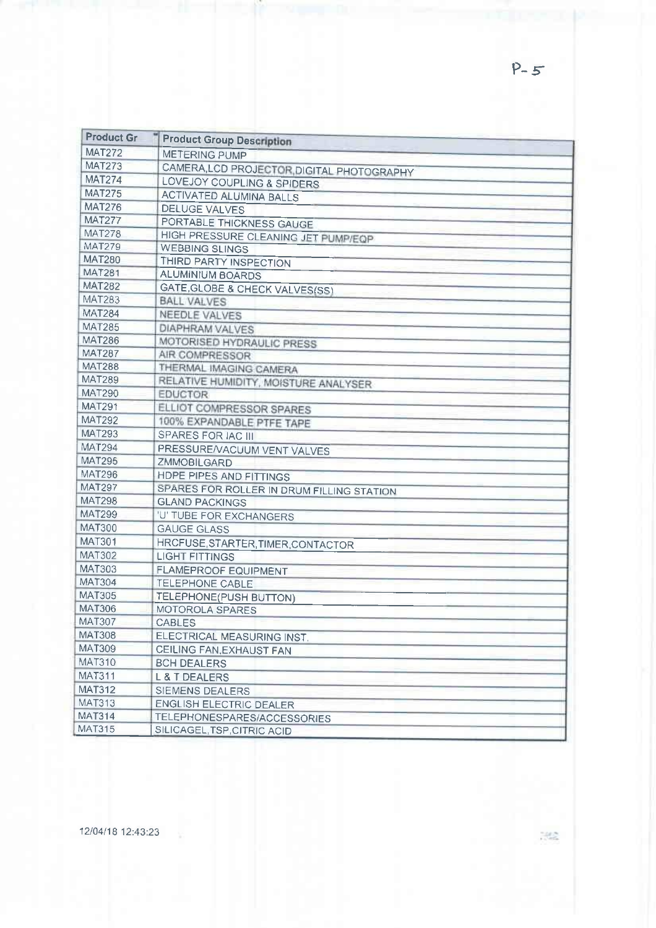| <b>Product Gr</b> | <b>Product Group Description</b>          |
|-------------------|-------------------------------------------|
| <b>MAT272</b>     | <b>METERING PUMP</b>                      |
| <b>MAT273</b>     | CAMERA, LCD PROJECTOR DIGITAL PHOTOGRAPHY |
| <b>MAT274</b>     | LOVEJOY COUPLING & SPIDERS                |
| <b>MAT275</b>     | <b>ACTIVATED ALUMINA BALLS</b>            |
| <b>MAT276</b>     | <b>DELUGE VALVES</b>                      |
| <b>MAT277</b>     | PORTABLE THICKNESS GAUGE                  |
| <b>MAT278</b>     | HIGH PRESSURE CLEANING JET PUMP/EQP       |
| <b>MAT279</b>     | <b>WEBBING SLINGS</b>                     |
| <b>MAT280</b>     | THIRD PARTY INSPECTION                    |
| <b>MAT281</b>     | <b>ALUMINIUM BOARDS</b>                   |
| <b>MAT282</b>     | GATE, GLOBE & CHECK VALVES(SS)            |
| <b>MAT283</b>     | <b>BALL VALVES</b>                        |
| <b>MAT284</b>     | NEEDLE VALVES                             |
| <b>MAT285</b>     | <b>DIAPHRAM VALVES</b>                    |
| <b>MAT286</b>     | MOTORISED HYDRAULIC PRESS                 |
| <b>MAT287</b>     | AIR COMPRESSOR                            |
| <b>MAT288</b>     | THERMAL IMAGING CAMERA                    |
| <b>MAT289</b>     | RELATIVE HUMIDITY, MOISTURE ANALYSER      |
| <b>MAT290</b>     | <b>EDUCTOR</b>                            |
| <b>MAT291</b>     | ELLIOT COMPRESSOR SPARES                  |
| <b>MAT292</b>     | 100% EXPANDABLE PTFE TAPE                 |
| <b>MAT293</b>     | <b>SPARES FOR IAC III</b>                 |
| <b>MAT294</b>     | PRESSURE/VACUUM VENT VALVES               |
| <b>MAT295</b>     | <b>ZMMOBILGARD</b>                        |
| <b>MAT296</b>     | HDPE PIPES AND FITTINGS                   |
| <b>MAT297</b>     | SPARES FOR ROLLER IN DRUM FILLING STATION |
| <b>MAT298</b>     | <b>GLAND PACKINGS</b>                     |
| <b>MAT299</b>     | <b>'U' TUBE FOR EXCHANGERS</b>            |
| <b>MAT300</b>     | <b>GAUGE GLASS</b>                        |
| <b>MAT301</b>     | HRCFUSE, STARTER, TIMER, CONTACTOR        |
| <b>MAT302</b>     | <b>LIGHT FITTINGS</b>                     |
| <b>MAT303</b>     | <b>FLAMEPROOF EQUIPMENT</b>               |
| <b>MAT304</b>     | TELEPHONE CABLE                           |
| <b>MAT305</b>     | TELEPHONE(PUSH BUTTON)                    |
| <b>MAT306</b>     | MOTOROLA SPARES                           |
| <b>MAT307</b>     | CABLES                                    |
| <b>MAT308</b>     | ELECTRICAL MEASURING INST.                |
| MAT309            | CEILING FAN, EXHAUST FAN                  |
| <b>MAT310</b>     | <b>BCH DEALERS</b>                        |
| <b>MAT311</b>     | L & T DEALERS                             |
| <b>MAT312</b>     | SIEMENS DEALERS                           |
| <b>MAT313</b>     | <b>ENGLISH ELECTRIC DEALER</b>            |
| <b>MAT314</b>     | TELEPHONESPARES/ACCESSORIES               |
| <b>MAT315</b>     | SILICAGEL, TSP, CITRIC ACID               |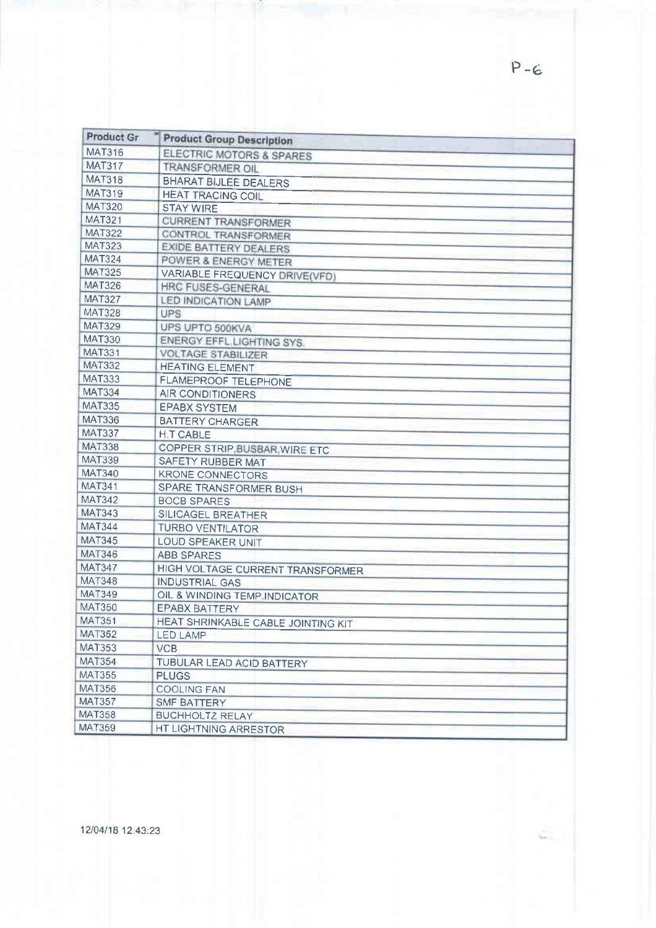| <b>Product Gr</b> | <b>Product Group Description</b>   |
|-------------------|------------------------------------|
| <b>MAT316</b>     | ELECTRIC MOTORS & SPARES           |
| <b>MAT317</b>     | TRANSFORMER OIL                    |
| <b>MAT318</b>     | <b>BHARAT BIJLEE DEALERS</b>       |
| <b>MAT319</b>     | <b>HEAT TRACING COIL</b>           |
| <b>MAT320</b>     | <b>STAY WIRE</b>                   |
| <b>MAT321</b>     | <b>CURRENT TRANSFORMER</b>         |
| <b>MAT322</b>     | <b>CONTROL TRANSFORMER</b>         |
| <b>MAT323</b>     | <b>EXIDE BATTERY DEALERS</b>       |
| <b>MAT324</b>     | POWER & ENERGY METER               |
| <b>MAT325</b>     | VARIABLE FREQUENCY DRIVE(VFD)      |
| <b>MAT326</b>     | HRC FUSES-GENERAL                  |
| <b>MAT327</b>     | LED INDICATION LAMP                |
| <b>MAT328</b>     | <b>UPS</b>                         |
| <b>MAT329</b>     | UPS UPTO 500KVA                    |
| <b>MAT330</b>     | ENERGY EFFL.LIGHTING SYS.          |
| MAT331            | <b>VOLTAGE STABILIZER</b>          |
| <b>MAT332</b>     | <b>HEATING ELEMENT</b>             |
| <b>MAT333</b>     | <b>FLAMEPROOF TELEPHONE</b>        |
| <b>MAT334</b>     | <b>AIR CONDITIONERS</b>            |
| <b>MAT335</b>     | <b>EPABX SYSTEM</b>                |
| <b>MAT336</b>     | <b>BATTERY CHARGER</b>             |
| <b>MAT337</b>     | <b>H.T CABLE</b>                   |
| <b>MAT338</b>     | COPPER STRIP, BUSBAR, WIRE ETC     |
| <b>MAT339</b>     | SAFETY RUBBER MAT                  |
| <b>MAT340</b>     | <b>KRONE CONNECTORS</b>            |
| <b>MAT341</b>     | SPARE TRANSFORMER BUSH             |
| <b>MAT342</b>     | <b>BOCB SPARES</b>                 |
| <b>MAT343</b>     | SILICAGEL BREATHER                 |
| <b>MAT344</b>     | <b>TURBO VENTILATOR</b>            |
| <b>MAT345</b>     | <b>LOUD SPEAKER UNIT</b>           |
| <b>MAT346</b>     | <b>ABB SPARES</b>                  |
| <b>MAT347</b>     | HIGH VOLTAGE CURRENT TRANSFORMER   |
| <b>MAT348</b>     | <b>INDUSTRIAL GAS</b>              |
| <b>MAT349</b>     | OIL & WINDING TEMP INDICATOR       |
| <b>MAT350</b>     | <b>EPABX BATTERY</b>               |
| <b>MAT351</b>     | HEAT SHRINKABLE CABLE JOINTING KIT |
| <b>MAT352</b>     | LED LAMP                           |
| <b>MAT353</b>     | <b>VCB</b>                         |
| <b>MAT354</b>     | TUBULAR LEAD ACID BATTERY          |
| <b>MAT355</b>     | <b>PLUGS</b>                       |
| <b>MAT356</b>     | <b>COOLING FAN</b>                 |
| <b>MAT357</b>     | SMF BATTERY                        |
| <b>MAT358</b>     | <b>BUCHHOLTZ RELAY</b>             |
| MAT359            | HT LIGHTNING ARRESTOR              |

12/04/18 12:43:23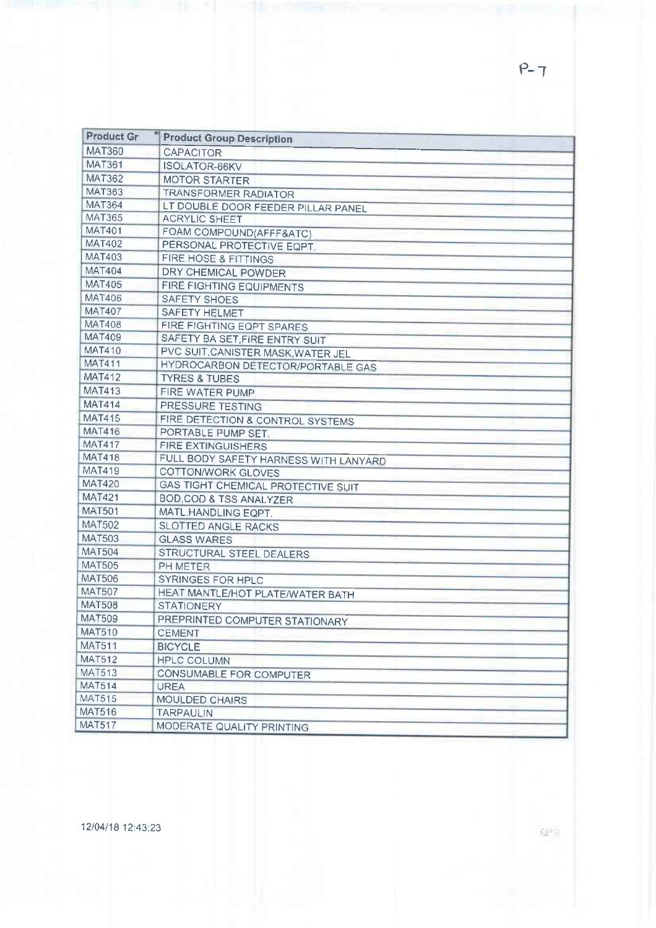| <b>Product Gr</b> | <b>Product Group Description</b>      |
|-------------------|---------------------------------------|
| <b>MAT360</b>     | <b>CAPACITOR</b>                      |
| <b>MAT361</b>     | <b>ISOLATOR-66KV</b>                  |
| <b>MAT362</b>     | <b>MOTOR STARTER</b>                  |
| <b>MAT363</b>     | TRANSFORMER RADIATOR                  |
| <b>MAT364</b>     | LT DOUBLE DOOR FEEDER PILLAR PANEL    |
| <b>MAT365</b>     | <b>ACRYLIC SHEET</b>                  |
| <b>MAT401</b>     | FOAM COMPOUND(AFFF&ATC)               |
| <b>MAT402</b>     | PERSONAL PROTECTIVE EQPT.             |
| MAT403            | FIRE HOSE & FITTINGS                  |
| <b>MAT404</b>     | DRY CHEMICAL POWDER                   |
| <b>MAT405</b>     | <b>FIRE FIGHTING EQUIPMENTS</b>       |
| <b>MAT406</b>     | SAFETY SHOES                          |
| <b>MAT407</b>     | <b>SAFETY HELMET</b>                  |
| <b>MAT408</b>     | FIRE FIGHTING EQPT SPARES             |
| <b>MAT409</b>     | SAFETY BA SET, FIRE ENTRY SUIT        |
| <b>MAT410</b>     | PVC SUIT, CANISTER MASK, WATER JEL    |
| <b>MAT411</b>     | HYDROCARBON DETECTOR/PORTABLE GAS     |
| <b>MAT412</b>     | <b>TYRES &amp; TUBES</b>              |
| <b>MAT413</b>     | FIRE WATER PUMP                       |
| <b>MAT414</b>     | PRESSURE TESTING                      |
| <b>MAT415</b>     | FIRE DETECTION & CONTROL SYSTEMS      |
| <b>MAT416</b>     | PORTABLE PUMP SET.                    |
| <b>MAT417</b>     | <b>FIRE EXTINGUISHERS</b>             |
| <b>MAT418</b>     | FULL BODY SAFETY HARNESS WITH LANYARD |
| <b>MAT419</b>     | COTTON/WORK GLOVES                    |
| <b>MAT420</b>     | GAS TIGHT CHEMICAL PROTECTIVE SUIT    |
| <b>MAT421</b>     | <b>BOD, COD &amp; TSS ANALYZER</b>    |
| <b>MAT501</b>     | MATL.HANDLING EQPT.                   |
| <b>MAT502</b>     | <b>SLOTTED ANGLE RACKS</b>            |
| <b>MAT503</b>     | <b>GLASS WARES</b>                    |
| <b>MAT504</b>     | STRUCTURAL STEEL DEALERS              |
| <b>MAT505</b>     | PH METER                              |
| <b>MAT506</b>     | <b>SYRINGES FOR HPLC</b>              |
| <b>MAT507</b>     | HEAT MANTLE/HOT PLATE/WATER BATH      |
| <b>MAT508</b>     | <b>STATIONERY</b>                     |
| <b>MAT509</b>     | PREPRINTED COMPUTER STATIONARY        |
| <b>MAT510</b>     | CEMENT                                |
| <b>MAT511</b>     | <b>BICYCLE</b>                        |
| <b>MAT512</b>     | <b>HPLC COLUMN</b>                    |
| <b>MAT513</b>     | CONSUMABLE FOR COMPUTER               |
| <b>MAT514</b>     | <b>UREA</b>                           |
| <b>MAT515</b>     | <b>MOULDED CHAIRS</b>                 |
| <b>MAT516</b>     | <b>TARPAULIN</b>                      |
| <b>MAT517</b>     | MODERATE QUALITY PRINTING             |

 $P - 7$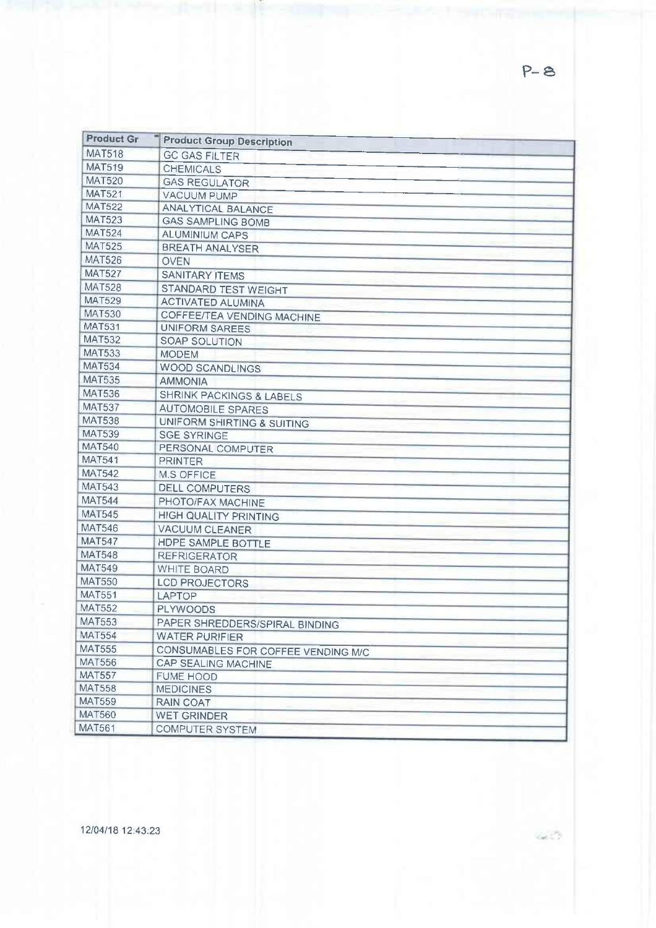| <b>Product Gr</b> | <b>Product Group Description</b>    |  |
|-------------------|-------------------------------------|--|
| <b>MAT518</b>     | <b>GC GAS FILTER</b>                |  |
| <b>MAT519</b>     | <b>CHEMICALS</b>                    |  |
| <b>MAT520</b>     | <b>GAS REGULATOR</b>                |  |
| <b>MAT521</b>     | <b>VACUUM PUMP</b>                  |  |
| <b>MAT522</b>     | <b>ANALYTICAL BALANCE</b>           |  |
| <b>MAT523</b>     | <b>GAS SAMPLING BOMB</b>            |  |
| <b>MAT524</b>     | <b>ALUMINIUM CAPS</b>               |  |
| <b>MAT525</b>     | <b>BREATH ANALYSER</b>              |  |
| <b>MAT526</b>     | <b>OVEN</b>                         |  |
| <b>MAT527</b>     | <b>SANITARY ITEMS</b>               |  |
| <b>MAT528</b>     | STANDARD TEST WEIGHT                |  |
| <b>MAT529</b>     | <b>ACTIVATED ALUMINA</b>            |  |
| <b>MAT530</b>     | COFFEE/TEA VENDING MACHINE          |  |
| <b>MAT531</b>     | <b>UNIFORM SAREES</b>               |  |
| <b>MAT532</b>     | SOAP SOLUTION                       |  |
| <b>MAT533</b>     | <b>MODEM</b>                        |  |
| <b>MAT534</b>     | <b>WOOD SCANDLINGS</b>              |  |
| <b>MAT535</b>     | <b>AMMONIA</b>                      |  |
| <b>MAT536</b>     | <b>SHRINK PACKINGS &amp; LABELS</b> |  |
| <b>MAT537</b>     | <b>AUTOMOBILE SPARES</b>            |  |
| <b>MAT538</b>     | UNIFORM SHIRTING & SUITING          |  |
| <b>MAT539</b>     | <b>SGE SYRINGE</b>                  |  |
| <b>MAT540</b>     | PERSONAL COMPUTER                   |  |
| <b>MAT541</b>     | <b>PRINTER</b>                      |  |
| <b>MAT542</b>     | M.S OFFICE                          |  |
| <b>MAT543</b>     | <b>DELL COMPUTERS</b>               |  |
| <b>MAT544</b>     | PHOTO/FAX MACHINE                   |  |
| <b>MAT545</b>     | <b>HIGH QUALITY PRINTING</b>        |  |
| <b>MAT546</b>     | <b>VACUUM CLEANER</b>               |  |
| <b>MAT547</b>     | HDPE SAMPLE BOTTLE                  |  |
| <b>MAT548</b>     | <b>REFRIGERATOR</b>                 |  |
| <b>MAT549</b>     | <b>WHITE BOARD</b>                  |  |
| <b>MAT550</b>     | <b>LCD PROJECTORS</b>               |  |
| <b>MAT551</b>     | LAPTOP                              |  |
| <b>MAT552</b>     | <b>PLYWOODS</b>                     |  |
| <b>MAT553</b>     | PAPER SHREDDERS/SPIRAL BINDING      |  |
| <b>MAT554</b>     | <b>WATER PURIFIER</b>               |  |
| <b>MAT555</b>     | CONSUMABLES FOR COFFEE VENDING M/C  |  |
| <b>MAT556</b>     | <b>CAP SEALING MACHINE</b>          |  |
| <b>MAT557</b>     | <b>FUME HOOD</b>                    |  |
| <b>MAT558</b>     | <b>MEDICINES</b>                    |  |
| <b>MAT559</b>     | RAIN COAT                           |  |
| <b>MAT560</b>     | <b>WET GRINDER</b>                  |  |
| <b>MAT561</b>     | <b>COMPUTER SYSTEM</b>              |  |

12/04/18 12:43:23

 $P - 8$ 

an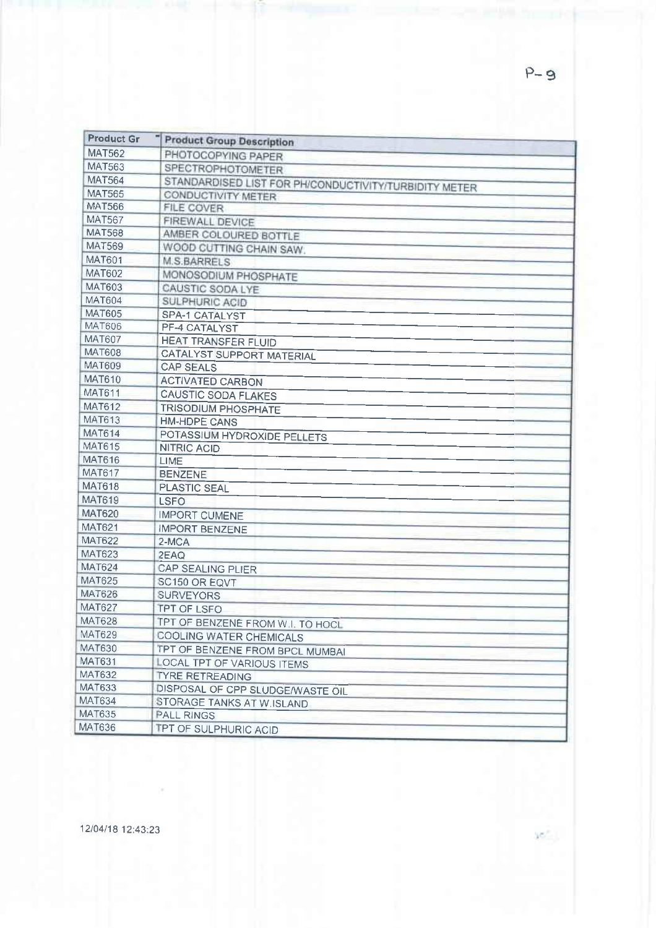| <b>Product Gr</b> | <b>Product Group Description</b>                      |
|-------------------|-------------------------------------------------------|
| <b>MAT562</b>     | PHOTOCOPYING PAPER                                    |
| <b>MAT563</b>     | <b>SPECTROPHOTOMETER</b>                              |
| <b>MAT564</b>     | STANDARDISED LIST FOR PH/CONDUCTIVITY/TURBIDITY METER |
| <b>MAT565</b>     | CONDUCTIVITY METER                                    |
| <b>MAT566</b>     | FILE COVER                                            |
| <b>MAT567</b>     | FIREWALL DEVICE                                       |
| <b>MAT568</b>     | AMBER COLOURED BOTTLE                                 |
| <b>MAT569</b>     | WOOD CUTTING CHAIN SAW.                               |
| <b>MAT601</b>     | <b>M.S.BARRELS</b>                                    |
| <b>MAT602</b>     | MONOSODIUM PHOSPHATE                                  |
| <b>MAT603</b>     | CAUSTIC SODA LYE                                      |
| MAT604            | SULPHURIC ACID                                        |
| <b>MAT605</b>     | SPA-1 CATALYST                                        |
| <b>MAT606</b>     | PF-4 CATALYST                                         |
| MAT607            | <b>HEAT TRANSFER FLUID</b>                            |
| <b>MAT608</b>     | <b>CATALYST SUPPORT MATERIAL</b>                      |
| <b>MAT609</b>     | <b>CAP SEALS</b>                                      |
| <b>MAT610</b>     | <b>ACTIVATED CARBON</b>                               |
| <b>MAT611</b>     | <b>CAUSTIC SODA FLAKES</b>                            |
| <b>MAT612</b>     | <b>TRISODIUM PHOSPHATE</b>                            |
| MAT613            | <b>HM-HDPE CANS</b>                                   |
| <b>MAT614</b>     | POTASSIUM HYDROXIDE PELLETS                           |
| <b>MAT615</b>     | <b>NITRIC ACID</b>                                    |
| <b>MAT616</b>     | LIME                                                  |
| <b>MAT617</b>     | <b>BENZENE</b>                                        |
| <b>MAT618</b>     | PLASTIC SEAL                                          |
| MAT619            | <b>LSFO</b>                                           |
| <b>MAT620</b>     | <b>IMPORT CUMENE</b>                                  |
| MAT621            | <b>IMPORT BENZENE</b>                                 |
| <b>MAT622</b>     | 2-MCA                                                 |
| <b>MAT623</b>     | 2EAQ                                                  |
| <b>MAT624</b>     | <b>CAP SEALING PLIER</b>                              |
| MAT625            | SC150 OR EQVT                                         |
| <b>MAT626</b>     | <b>SURVEYORS</b>                                      |
| <b>MAT627</b>     | <b>TPT OF LSFO</b>                                    |
| <b>MAT628</b>     | TPT OF BENZENE FROM W.I. TO HOCL                      |
| <b>MAT629</b>     | <b>COOLING WATER CHEMICALS</b>                        |
| <b>MAT630</b>     | TPT OF BENZENE FROM BPCL MUMBAI                       |
| <b>MAT631</b>     | <b>LOCAL TPT OF VARIOUS ITEMS</b>                     |
| <b>MAT632</b>     | <b>TYRE RETREADING</b>                                |
| <b>MAT633</b>     | DISPOSAL OF CPP SLUDGE/WASTE OIL                      |
| MAT634            | STORAGE TANKS AT W.ISLAND                             |
| <b>MAT635</b>     | <b>PALL RINGS</b>                                     |
| MAT636            | TPT OF SULPHURIC ACID                                 |

 $\leq$